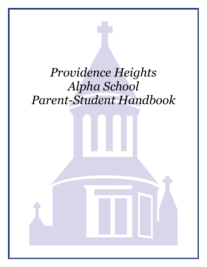# *Providence Heights Alpha School Parent-Student Handbook*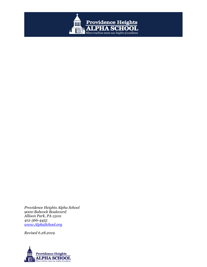

*Providence Heights Alpha School 9000 Babcock Boulevard Allison Park, PA 15101 412-366-4455 [www.AlphaSchool.org](http://www.alphaschool.org/)*

*Revised 6.28.2019*

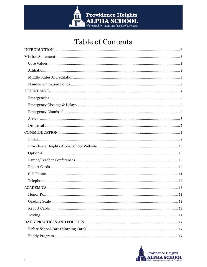

## **Table of Contents**

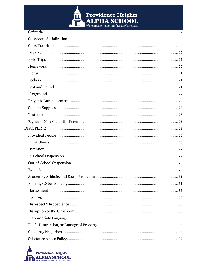

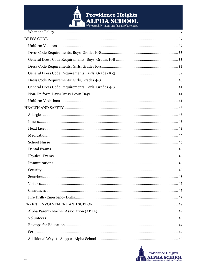

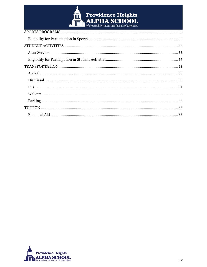

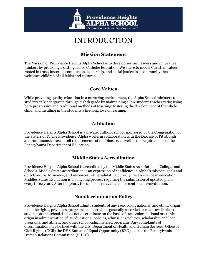

## INTRODUCTION

## **Mission Statement**

<span id="page-6-1"></span><span id="page-6-0"></span>The Mission of Providence Heights Alpha School is to develop servant leaders and innovative thinkers by providing a distinguished Catholic Education. We strive to model Christian values rooted in trust, fostering compassion, leadership, and social justice in a community that welcomes children of all faiths and cultures.

#### **Core Values**

<span id="page-6-2"></span>While providing quality education in a nurturing environment, the Alpha School ministers to students in kindergarten through eighth grade by maintaining a low student-teacher ratio; using both progressive and traditional methods of teaching; fostering the development of the whole child; and instilling in the students a life-long love of learning.

#### **Affiliation**

<span id="page-6-3"></span>Providence Heights Alpha School is a private, Catholic school sponsored by the Congregation of the Sisters of Divine Providence. Alpha works in collaboration with the Diocese of Pittsburgh and continuously exceeds all requirements of the Diocese, as well as the requirements of the Pennsylvania Department of Education.

#### **Middle States Accreditation**

<span id="page-6-4"></span>Providence Heights Alpha School is accredited by the Middle States Association of Colleges and Schools. Middle States accreditation is an expression of confidence in Alpha's mission; goals and objectives; performance; and resources, while validating publicly the excellence in education. Middles States Evaluation is an ongoing process requiring the submission of updated plans every three years. After ten years, the school is re-evaluated for continued accreditation.

## <span id="page-6-6"></span>**Nondiscrimination Policy**

<span id="page-6-5"></span>Providence Heights Alpha School admits students of any race, color, national, and ethnic origin to all the rights, privileges, programs, and activities generally accorded or made available to students at the school. It does not discriminate on the basis of race, color, national or ethnic origin in administration of its educational policies, admissions policies, scholarship and loan programs, and athletic and other school-administered programs. Any complaints of discrimination may be filed with the U.S. Department of Health and Human Services' Office of Civil Rights, (OCR) the DHS Bureau of Equal Opportunity (BEO) and/or the Pennsylvania Human Relations Commission (PHRC).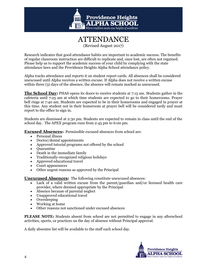



Research indicates that good attendance habits are important to academic success. The benefits of regular classroom instruction are difficult to replicate and, once lost, are often not regained. Please help us to support the academic success of your child by complying with the state attendance laws and the Providence Heights Alpha School attendance policy.

Alpha tracks attendance and reports it on student report cards. All absences shall be considered unexcused until Alpha receives a written excuse. If Alpha does not receive a written excuse within three (3) days of the absence, the absence will remain marked as unexcused.

**The School Day:** PHAS opens its doors to receive students at 7:15 am. Students gather in the cafeteria until 7:25 am at which time students are expected to go to their homerooms. Prayer bell rings at 7:40 am. Students are expected to be in their homerooms and engaged in prayer at this time. Any student not in their homeroom at prayer bell will be considered tardy and must report to the office to sign in.

Students are dismissed at 2:30 pm. Students are expected to remain in class until the end of the school day. The APEX program runs from 2:45 pm to 6:00 pm.

**Excused Absences:** Permissible excused absences from school are:

- Personal illness
- Doctor/dental appointments
- Approved tutorial programs not offered by the school
- Ouarantine
- Death in the immediate family
- Traditionally-recognized religious holidays
- Approved educational travel
- Court appearances
- Other urgent reasons as approved by the Principal

**Unexcused Absences:** The following constitute unexcused absences:

- Lack of a valid written excuse from the parent/guardian and/or licensed health care provider, where deemed appropriate by the Principal
- Absence because of parental neglect
- Unapproved educational travel
- Oversleeping
- Working at home
- Other reasons not sanctioned under excused absences

**PLEASE NOTE:** Students absent from school are not permitted to engage in any afterschool activities, sports, or practices on the day of absence without Principal approval.

A daily absentee list will be available to the staff each school day.

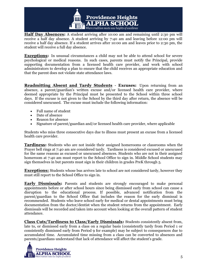

**Half Day Absences:** A student arriving after 10:00 am and remaining until 2:30 pm will receive a half day absence. A student arriving by 7:40 am and leaving before 12:00 pm will receive a half day absence. If a student arrives after 10:00 am and leaves prior to 2:30 pm, the student will receive a full day absence.

**Exceptions:** In unusual circumstances a child may not be able to attend school for severe psychological or medical reasons. In such cases, parents must notify the Principal, provide supporting documentation from a licensed health care provider, and work with school administrators to develop a plan to ensure that the child receives an appropriate education and that the parent does not violate state attendance laws.

**Readmitting Absent and Tardy Students** - **Excuses:** Upon returning from an absence, a parent/guardian's written excuse and/or licensed health care provider, where deemed appropriate by the Principal must be presented to the School within three school days. If the excuse is not given to the School by the third day after return, the absence will be considered unexcused. The excuse must include the following information:

- Full name of student
- Date of absence
- Reason for absence
- Signature of parent/guardian and/or licensed health care provider, where applicable

Students who miss three consecutive days due to illness must present an excuse from a licensed health care provider.

**Tardiness:** Students who are not inside their assigned homerooms or classrooms when the Prayer bell rings at 7:40 am are considered tardy. Tardiness is considered excused or unexcused for the same reasons as excused or unexcused absences. Students who are not in their assigned homeroom at 7:40 am must report to the School Office to sign in. Middle School students may sign themselves in but parents must sign in their children in grades PreK through 5.

**Exceptions:** Students whose bus arrives late to school are not considered tardy, however they must still report to the School Office to sign in.

**Early Dismissals:** Parents and students are strongly encouraged to make personal appointments before or after school hours since being dismissed early from school can cause a disruption to the educational process. If possible, advanced notification from the parent/guardian to the School Office that includes the reason for the early dismissal is recommended. Students who leave school early for medical or dental appointments must bring documentation from the doctor/dentist when the student returns from the appointment. Early dismissals will be recorded and taken into account when looking at the overall pattern of student attendance.

**Class Cuts/Tardiness to Class/Early Dismissals:** Students consistently absent from, late to, or dismissed early from a class on a regular basis (consistently tardy from Period 1 or consistently dismissed early from Period 9 for example) may be subject to consequences due to accumulated time. Accumulated time missing from a class can be converted to absences and parents/guardians understand that lack of attendance will affect the student's grade.

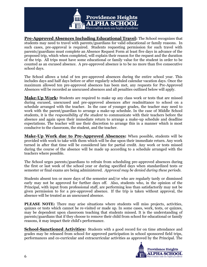

**Pre-Approved Absences Including Educational Travel:** The School recognizes that students may need to travel with parents/guardians for valid educational or family reasons. In such cases, pre-approval is required. Students requesting permission for such travel with parents/guardians must complete an Absence Request Form at least five days in advance of the proposed trip, which when completed, will explain their reason for the request and the duration of the trip. All trips must have some educational or family value for the student in order to be counted as an excused absence. A pre-approved absence is to be no more than five consecutive school days.

The School allows a total of ten pre-approved absences during the entire school year. This includes days and half days before or after regularly scheduled calendar vacation days. Once the maximum allowed ten pre-approved absences has been met, any requests for Pre-Approved Absences will be recorded as unexcused absences and all penalties outlined below will apply.

**Make-Up Work:** Students are required to make up any class work or tests that are missed during excused, unexcused and pre-approved absences after readmittance to school on a schedule arranged with the teacher. In the case of younger grades, the teacher may need to work with the parent/guardian to arrange a make-up schedule. In the case of Middle School students, it is the *responsibility of the student* to communicate with their teachers before the absence and again upon their immediate return to arrange a make-up schedule and deadline expectations. The teacher will use their discretion to arrange this in a manner which is most conducive to the classroom, the student, and the teacher.

**Make-Up Work due to Pre-Approved Absences:** When possible, students will be provided with work to take with them which will be due upon their immediate return. Any work turned in after that time will be considered late for partial credit. Any work or tests missed during the course of the absence will be made up according to a schedule arranged with the teachers where possible.

The School urges parents/guardians to refrain from scheduling pre-approved absences during the first or last week of the school year or during specified days when standardized tests or semester or final exams are being administered. *Approval may be denied during these periods.*

Students absent ten or more days of the semester and/or who are regularly tardy or dismissed early may not be approved for further days off. Also, students who, in the opinion of the Principal, with input from professional staff, are performing less than satisfactorily may not be given permission to for a pre-approved absence. If the trip is taken without approval, the absence will be treated as an unexcused absence.

**PLEASE NOTE:** There may arise situations where students will miss projects, activities, quizzes or tests which cannot be re-visited or made up. In some cases, work, tests, or quizzes, may be dependent upon classroom teaching that students missed. It is the understanding of parents/guardians that if they choose to remove their child from school for educational or family reasons, it may impact their child's performance.

**School-Sanctioned Activities:** Students with a good record for on time attendance and grades may be released from school for approved participation in school sponsored field trips, performances and co-curricular and extracurricular activities as approved by the Principal. The

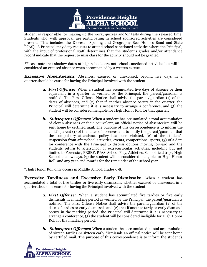

student is responsible for making up the work, quizzes and/or tests during the released time. Students who, with approval, are participating in school sponsored activities are considered present. (This includes the Diocesan Spelling and Geography Bee, Honors Band and State PJAS). A Principal may deny requests to attend school sanctioned activities where the Principal, with the input of professional staff, determines that the student's grades and/or attendance record indicate that the request to miss class for the activity should not be granted.

\*Please note that shadow dates at high schools are not school sanctioned activities but will be considered an excused absence when accompanied by a written excuse.

**Excessive Absenteeism:** Absences, excused or unexcused, beyond five days in a quarter should be cause for having the Principal involved with the student.

- *a. First Offense:* When a student has accumulated five days of absence or their equivalent in a quarter as verified by the Principal, the parent/guardian is notified. The First Offense Notice shall advise the parent/guardian (1) of the dates of absences, and (2) that if another absence occurs in the quarter, the Principal will determine if it is necessary to arrange a conference, and (3) the student will be considered ineligible for High Honor Roll for that quarter.
- *b. Subsequent Offenses:* When a student has accumulated a total accumulation of eleven absences or their equivalent, an official notice of absenteeism will be sent home by certified mail. The purpose of this correspondence is to inform the child's parent (1) of the dates of absences and to notify the parent/guardian that the compulsory attendance policy has been violated, (2) of the student's suspension from afterschool activities, events, competitions, sports, (3) of a date for conference with the Principal to discuss options moving forward and the students return to afterschool or extracurricular activities, including but not limited to Forensics, PRSEF, PJAS, School Play, Athletics, School field trips, High School shadow days, (3) the student will be considered ineligible for High Honor Roll and any year-end awards for the remainder of the school year.

\*High Honor Roll only occurs in Middle School, grades 6-8.

**Excessive Tardiness and Excessive Early Dismissals:** When a student has accumulated a total of five tardies or five early dismissals, whether excused or unexcused in a quarter should be cause for having the Principal involved with the student.

- *a. First Offense:* When a student has accumulated five tardies or five early dismissals in a marking period as verified by the Principal, the parent/guardian is notified. The First Offense Notice shall advise the parent/guardian (1) of the dates of tardies or early dismissals and (2) that if another tardy or early dismissal occurs in the marking period, the Principal will determine if it is necessary to arrange a conference, (3) the student will be considered ineligible for High Honor Roll for that marking period.
- *b. Subsequent Offenses:* When a student has accumulated a total accumulation of sixteen tardies 0r sixteen early dismissals an official notice will be sent home by certified mail. The purpose of this correspondence is to inform the student's

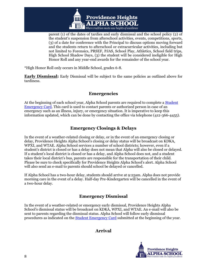

parent (1) of the dates of tardies and early dismissal and the school policy (2) of the student's suspension from afterschool activities, events, competitions, sports, (3) of a date for conference with the Principal to discuss options moving forward and the students return to afterschool or extracurricular activities, including but not limited to Forensics, PRSEF, PJAS, School Play, Athletics, School field trips, High School Shadow Days, (3) the student will be considered ineligible for High Honor Roll and any year-end awards for the remainder of the school year.

\*High Honor Roll only occurs in Middle School, grades 6-8.

**Early Dismissal:** Early Dismissal will be subject to the same policies as outlined above for tardiness.

#### **Emergencies**

<span id="page-11-0"></span>At the beginning of each school year, Alpha School parents are required to complete a Student Emergency Card. This card is used to contact parents or authorized person in case of an emergency such as an illness, injury, or emergency situation. It is imperative to keep this information updated, which can be done by contacting the office via telephone (412-366-4455).

## **Emergency Closings & Delays**

<span id="page-11-1"></span>In the event of a weather-related closing or delay, or in the event of an emergency closing or delay, Providence Heights Alpha School's closing or delay status will be broadcast on KDKA, WPXI, and WTAE. Alpha School services a number of school districts; however, even if a student's district is closed or has a delay does not mean that Alpha will also be closed or delayed. If a student's local district is closed or has a delay, and Alpha School does not, and a student takes their local district's bus, parents are responsible for the transportation of their child. Please be sure to check specifically for Providence Heights Alpha School's alert. Alpha School will also send an e-mail to parents should school be delayed or cancelled.

If Alpha School has a two-hour delay, students should arrive at 9:25am. Alpha does not provide morning care in the event of a delay. Half-day Pre-Kindergarten will be cancelled in the event of a two-hour delay.

#### **Emergency Dismissal**

<span id="page-11-3"></span><span id="page-11-2"></span>In the event of a weather-related or emergency early dismissal, Providence Heights Alpha School's dismissal status will be broadcast on KDKA, WPXI, and WTAE. An e-mail will also be sent to parents regarding the dismissal status. Alpha School will follow early dismissal procedures as indicated on the Student Emergency Card submitted at the beginning of the year.

#### **Arrival**

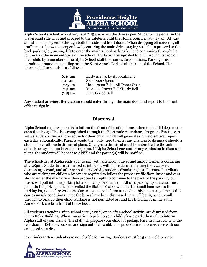

Alpha School student arrival begins at 7:15 am, when the doors open. Students may enter in the playground side door and proceed to the cafeteria until the Homeroom Bell at 7:25 am. At 7:25 am, students may enter through both the side and front doors. When dropping off students, all traffic must follow the proper flow by entering the main drive, staying straight to proceed to the back parking lot, turning left to enter the main school parking lot, and continuing through the lot towards the main entrance of the school. Traffic will be signaled to pull through to drop off their child by a member of the Alpha School staff to ensure safe conditions. Parking is not permitted around the building or in the Saint Anne's Park circle in front of the School. The morning bell schedule is as follows:

| $6:45$ am | Early Arrival by Appointment   |
|-----------|--------------------------------|
| 7:15 am   | Side Door Opens                |
| 7:25 am   | Homeroom Bell-All Doors Open   |
| 7:40 am   | Morning Prayer Bell/Tardy Bell |
| 7:45 am   | First Period Bell              |

Any student arriving after 7:40am should enter through the main door and report to the front office to sign in.

#### **Dismissal**

<span id="page-12-0"></span>Alpha School requires parents to inform the front office of the times when their child departs the school each day. This is accomplished through the Electronic Attendance Program. Parents can set a standard dismissal procedure for their child, which will generate on the dismissal report each day automatically. Parents would then only need to enter any changes to dismissal should a student have alternate dismissal plans. Changes to dismissal must be submitted to the online attendance system no later than 1:30 pm. If Alpha School encounters any confusion in dismissal plans, the student will be sent to APEX and the parent(s) will be notified.

The school-day at Alpha ends at 2:30 pm, with afternoon prayer and announcements occurring at 2:28pm.. Students are dismissed at intervals, with bus riders dismissing first, walkers, dismissing second, and after-school care/activity students dismissing last. Parents/Guardians who are picking up children by car are required to follow the proper traffic flow. Buses and cars should enter the main drive, then proceed straight to continue to the back of the parking lot. Buses will pull into the parking lot and line up for dismissal. All cars picking up students must pull into the pick-up lane (also called the Station Walk), which is the small lane next to the parking lot, not before 2:00 pm. Cars must not be left unattended in this lane at any time as this causes unsafe conditions. Once the buses have been dismissed, cars will be signaled to pull through to pick up their child. Parking is not permitted around the building or in the Saint Anne's Park circle in front of the School.

All students attending after-school care (APEX) or an after-school activity are dismissed from the Ketteler Building. When you arrive to pick up your child, please park, then call to inform Alpha staff of your arrival. The staff will prepare your child for pickup. Parents must come to the rear door of Ketteler, buzz in, and sign out their child. This procedure is in accordance with our enhanced security.

Pre-Kindergarten students are not eligible for busing. Students must be 5 years old prior to

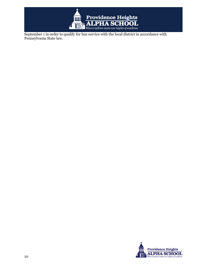

September 1 in order to qualify for bus service with the local district in accordance with Pennsylvania State law.

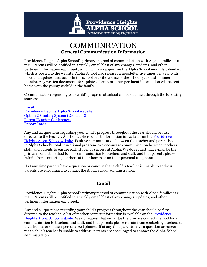

## COMMUNICATION **General Communication Information**

<span id="page-14-0"></span>Providence Heights Alpha School's primary method of communication with Alpha families is email. Parents will be notified in a weekly email blast of any changes, updates, and other pertinent information each week, which will also appear on the Alpha School monthly calendar, which is posted to the website. Alpha School also releases a newsletter five times per year with news and updates that occur in the school over the course of the school-year and summer months. Any written documents for updates, forms, or other pertinent information will be sent home with the youngest child in the family.

Communication regarding your child's progress at school can be obtained through the following sources:

#### [Email](#page-14-1)

[Providence Heights Alpha School website](https://www.alphaschool.org/) [Option C Grading System](#page-15-1) (Grades 1-8) [Parent/Teacher Conferences](#page-15-2) [Report Cards](#page-15-3)

Any and all questions regarding your child's progress throughout the year should be first directed to the teacher. A list of teacher contact information is available on the **Providence** [Heights Alpha School website.](https://www.alphaschool.org/) Positive communication between the teacher and parent is vital to Alpha School's total educational program. We encourage communication between teachers, staff, and parents to ensure each student's success at Alpha. We do request that e-mail be the primary contact method for all communication to teachers and staff, and that parents please refrain from contacting teachers at their homes or on their personal cell phones.

If at any time parents have a question or concern that a child's teacher is unable to address, parents are encouraged to contact the Alpha School administration.

#### **Email**

<span id="page-14-1"></span>Providence Heights Alpha School's primary method of communication with Alpha families is email. Parents will be notified in a weekly email blast of any changes, updates, and other pertinent information each week.

Any and all questions regarding your child's progress throughout the year should be first directed to the teacher. A list of teacher contact information is available on th[e Providence](http://www.alphaschool.org/)  [Heights Alpha School website.](http://www.alphaschool.org/) We do request that e-mail be the primary contact method for all communication to teachers and staff, and that parents please refrain from contacting teachers at their homes or on their personal cell phones. If at any time parents have a question or concern that a child's teacher is unable to address, parents are encouraged to contact the Alpha School administration.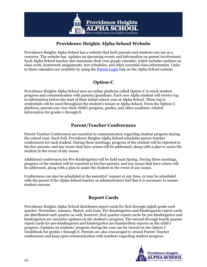

## **Providence Heights Alpha School Website**

<span id="page-15-0"></span>Providence Heights Alpha School has a website that both parents and students can use as a resource. The website has updates on upcoming events and information on parent involvement. Each Alpha School teacher also maintains their own google calendar, which includes updates on class work, homework assignments, test schedules, and other essential class information. Links to these calendars are available by using the **Parent Login** link on the Alpha School website.

## **Option-C**

<span id="page-15-1"></span>Providence Heights Alpha School uses an online platform called Option-C to track student progress and communication with parents/guardians. Each new Alpha student will receive log in information before the start of their initial school-year at Alpha School. These log in credentials will be used throughout the student's tenure at Alpha School. From the Option-C platform, parents can view their child's progress, grades, and other academic-related information for grades 1 through 8.

## **Parent/Teacher Conferences**

<span id="page-15-2"></span>Parent-Teacher Conferences are essential in communication regarding student progress during the school-year. Each Fall, Providence Heights Alpha School schedules parent-teacher conferences for each student. During these meetings, progress of the student will be reported to his/her parents, and any issues that have arisen will be addressed, along with a plan to assist the student in the event of any issues.

Additional conferences for Pre-Kindergarten will be held each Spring. During these meetings, progress of the student will be reported to his/her parents, and any issues that have arisen will be addressed, along with a plan to assist the student in the event of any issues.

Conferences can also be scheduled at the parent(s)' request at any time, or may be scheduled with the parent if the Alpha School teacher or administrators feel that it is necessary to ensure student success.

## **Report Cards**

<span id="page-15-3"></span>Providence Heights Alpha School distributes report cards for first through eighth grade each quarter: November, January, March, and June. Pre-Kindergarten and Kindergarten report cards are distributed each quarter as well; however, first quarter report cards for pre-kindergarten and kindergarten are narrative updates on the student's progress. The second through fourth quarter report cards for pre-kindergarten and kindergarten are handwritten reports on the child's progress. Updates on students' progress during the year can be viewed on the Option C Gradebook for grades 1 through 8. Parents are also encouraged to attend Parent-Teacher conferences and keep open communication with teachers regarding student progress.

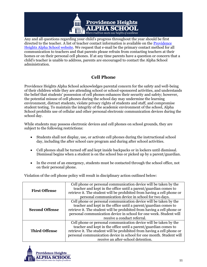

Any and all questions regarding your child's progress throughout the year should be first directed to the teacher. A list of teacher contact information is available on th[e Providence](http://www.alphaschool.org/)  [Heights Alpha School website.](http://www.alphaschool.org/) We request that e-mail be the primary contact method for all communication to teachers and that parents please refrain from contacting teachers at their homes or on their personal cell phones. If at any time parents have a question or concern that a child's teacher is unable to address, parents are encouraged to contact the Alpha School administration.

## **Cell Phone**

<span id="page-16-0"></span>Providence Heights Alpha School acknowledges parental concern for the safety and well-being of their children while they are attending school or school-sponsored activities, and understands the belief that students' possession of cell phones enhances their security and safety; however, the potential misuse of cell phones during the school day may undermine the learning environment, distract students, violate privacy rights of students and staff, and compromise student testing. To maintain the integrity of the academic environment of the school, Alpha School prohibits use of cellular and other personal electronic communication devices during the school day.

While students may possess electronic devices and cell phones on school grounds, they are subject to the following restrictions:

- Students shall not display, use, or activate cell phones during the instructional school day, including the after school care program and during after school activities.
- Cell phones shall be turned off and kept inside backpacks or in lockers until dismissal. Dismissal begins when a student is on the school bus or picked up by a parent/guardian.
- In the event of an emergency, students must be contacted through the school office, not on their personal phone.

| <b>First Offense</b>  | Cell phone or personal communication device will be taken by the<br>teacher and kept in the office until a parent/guardian comes to<br>retrieve it. The student will be prohibited from having a cell phone or<br>personal communication device in school for two days.                                                     |
|-----------------------|-----------------------------------------------------------------------------------------------------------------------------------------------------------------------------------------------------------------------------------------------------------------------------------------------------------------------------|
| <b>Second Offense</b> | Cell phone or personal communication device will be taken by the<br>teacher and kept in the office until a parent/guardian comes to<br>retrieve it. The student will be prohibited from having a cell phone or<br>personal communication device in school for one week. Student will<br>receive a conduct referral.         |
| <b>Third Offense</b>  | Cell phone or personal communication device will be taken by the<br>teacher and kept in the office until a parent/guardian comes to<br>retrieve it. The student will be prohibited from having a cell phone or<br>personal communication device in school for one month. Student will<br>receive an after-school detention. |

Violation of the cell phone policy will result in disciplinary action outlined below:

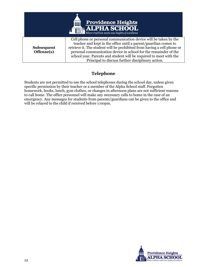

## **Telephone**

<span id="page-17-0"></span>Students are not permitted to use the school telephones during the school day, unless given specific permission by their teacher or a member of the Alpha School staff. Forgotten homework, books, lunch, gym clothes, or changes in afternoon plans are not sufficient reasons to call home. The office personnel will make any necessary calls to home in the case of an emergency. Any messages for students from parents/guardians can be given to the office and will be relayed to the child if received before 1:00pm.

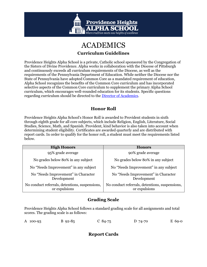

## ACADEMICS

#### **Curriculum Guidelines**

<span id="page-18-0"></span>Providence Heights Alpha School is a private, Catholic school sponsored by the Congregation of the Sisters of Divine Providence. Alpha works in collaboration with the Diocese of Pittsburgh and continuously exceeds all curriculum requirements of the Diocese, as well as the requirements of the Pennsylvania Department of Education. While neither the Diocese nor the State of Pennsylvania have adopted Common Core as a mandated requirement of education, Alpha School recognizes the benefits of the Common Core curriculum and has incorporated selective aspects of the Common Core curriculum to supplement the primary Alpha School curriculum, which encourages well-rounded education for its students. Specific questions regarding curriculum should be directed to the [Director of Academics.](mailto:philes@alphschool.org)

## **Honor Roll**

<span id="page-18-1"></span>Providence Heights Alpha School's Honor Roll is awarded to Provident students in sixth through eighth grade for all core subjects, which include Religion, English, Literature, Social Studies, Science, Math, and Spanish. Provident, kind behavior is also taken into account when determining student eligibility. Certificates are awarded quarterly and are distributed with report cards. In order to qualify for the honor roll, a student must meet the requirements listed below.

| <b>High Honors</b>                                              | <b>Honors</b>                                                   |
|-----------------------------------------------------------------|-----------------------------------------------------------------|
| 95% grade average                                               | 90% grade average                                               |
| No grades below 80% in any subject                              | No grades below 80% in any subject                              |
| No "Needs Improvement" in any subject                           | No "Needs Improvement" in any subject                           |
| No "Needs Improvement" in Character<br>Development              | No "Needs Improvement" in Character<br>Development              |
| No conduct referrals, detentions, suspensions,<br>or expulsions | No conduct referrals, detentions, suspensions,<br>or expulsions |

## **Grading Scale**

<span id="page-18-2"></span>Providence Heights Alpha School follows a standard grading scale for all assignments and total scores. The grading scale is as follows:

<span id="page-18-3"></span>

|  | A 100-93 | $B_{92-85}$ | $C_84-75$ | D 74-70 | E 69-0 |
|--|----------|-------------|-----------|---------|--------|
|--|----------|-------------|-----------|---------|--------|

**Report Cards**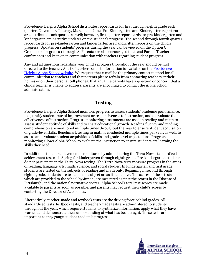Providence Heights Alpha School distributes report cards for first through eighth grade each quarter: November, January, March, and June. Pre-Kindergarten and Kindergarten report cards are distributed each quarter as well; however, first quarter report cards for pre-kindergarten and kindergarten are narrative updates on the student's progress. The second through fourth quarter report cards for pre-kindergarten and kindergarten are handwritten reports on the child's progress. Updates on students' progress during the year can be viewed on the Option C Gradebook for grades 1 through 8. Parents are also encouraged to attend Parent-Teacher conferences and keep open communication with teachers regarding student progress.

Any and all questions regarding your child's progress throughout the year should be first directed to the teacher. A list of teacher contact information is available on the **Providence** [Heights Alpha School website.](http://www.alphaschool.org/) We request that e-mail be the primary contact method for all communication to teachers and that parents please refrain from contacting teachers at their homes or on their personal cell phones. If at any time parents have a question or concern that a child's teacher is unable to address, parents are encouraged to contact the Alpha School administration.

#### **Testing**

<span id="page-19-0"></span>Providence Heights Alpha School monitors progress to assess students' academic performance, to quantify student rate of improvement or responsiveness to instruction, and to evaluate the effectiveness of instruction. Progress monitoring assessments are used in reading and math to assess student aptitude of skills and to chart educational growth. Reading fluency and reading comprehension are monitored multiple times throughout the year to ensure student acquisition of grade-level skills. Benchmark testing in math is conducted multiple times per year, as well, to assess and evaluate student acquisition of skills and grade-level expectations. Progress monitoring allows Alpha School to evaluate the instruction to ensure students are learning the skills they need.

In addition, student achievement is monitored by administering the Terra Nova standardized achievement test each Spring for kindergarten through eighth grade. Pre-kindergarten students do not participate in the Terra Nova testing. The Terra Nova tests measure progress in the areas of reading, language arts, math, science, and social studies. In kindergarten and first grade, students are tested on the subjects of reading and math only. Beginning in second through eighth grade, students are tested on all subject areas listed above. The scores of these tests, which are provided to the school by June 1, are measured against the scores in the Diocese of Pittsburgh, and the national normative scores. Alpha School's total test scores are made available to parents as soon as possible, and parents may request their child's scores by contacting the Director of Academics.

Alternatively, teacher-made and textbook tests are the driving force behind grades. All standardized tests, textbook tests, and teacher-made tests are administered to students throughout the year, which require students to synthesize information, apply what they have learned, and demonstrate their understanding of what has been taught. These tests are important as they gauge student academic progress.

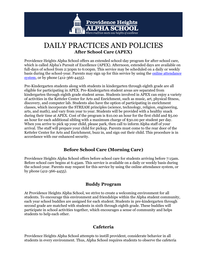

## DAILY PRACTICES AND POLICIES **After School Care (APEX)**

<span id="page-20-0"></span>Providence Heights Alpha School offers an extended school-day program for after-school care, which is called Alpha's Pursuit of Excellence (APEX). Afternoon, extended days are available on full-days of school from 2:30pm to 6:00pm. This service may be scheduled on a daily or weekly basis during the school-year. Parents may sign up for this service by using the [online attendance](http://alphaschool.org/login.aspx?url=/private/)  [system,](http://alphaschool.org/login.aspx?url=/private/) or by phone (412-366-4455).

Pre-Kindergarten students along with students in kindergarten through eighth grade are all eligible for participating in APEX. Pre-Kindergarten student areas are separated from kindergarten through eighth grade student areas. Students involved in APEX can enjoy a variety of activities in the Ketteler Center for Arts and Enrichment, such as music, art, physical fitness, discovery, and computer lab. Students also have the option of participating in enrichment classes, which incorporate the STREAM principles (science, technology, religion, engineering, arts, and math), and vary from year to year. Students will be provided with a healthy snack during their time at APEX. Cost of the program is \$10.00 an hour for the first child and \$5.00 an hour for each additional sibling with a maximum charge of \$30.00 per student per day. When you arrive to pick up your child, please park, then call to inform Alpha staff of your arrival. The staff will prepare your child for pickup. Parents must come to the rear door of the Ketteler Center for Arts and Enrichment, buzz in, and sign out their child. This procedure is in accordance with our enhanced security.

#### **Before School Care (Morning Care)**

<span id="page-20-1"></span>Providence Heights Alpha School offers before school care for students arriving before 7:15am. Before school care begins at 6:45am. This service is available on a daily or weekly basis during the school-year. Parents may request for this service by using the online attendance system, or by phone (412-366-4455).

#### **Buddy Program**

<span id="page-20-2"></span>At Providence Heights Alpha School, we strive to create a welcoming environment for all students. To encourage this environment and friendships within the Alpha student community, each year school buddies are assigned for each student. Students in pre-kindergarten through second grade are matched with students in sixth through eighth grade. These buddies will participate in school activities together, which encourages a sense of community and helps students to help each other.

#### **Cafeteria**

<span id="page-20-3"></span>Providence Heights Alpha School attempts to instill provident, considerate behavior in all students in every environment. Thus, Alpha School requires students to observe the cafeteria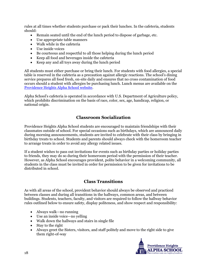rules at all times whether students purchase or pack their lunches. In the cafeteria, students should:

- Remain seated until the end of the lunch period to dispose of garbage, etc.
- Use appropriate table manners
- Walk while in the cafeteria
- Use inside voices
- Be courteous and respectful to all those helping during the lunch period
- Keep all food and beverages inside the cafeteria
- Keep any and all toys away during the lunch period

All students must either purchase or bring their lunch. For students with food allergies, a special table is reserved in the cafeteria as a precaution against allergic reactions. The school's dining service prepares all food fresh, on-site daily and ensures that no cross contamination of food occurs should a student with allergies be purchasing lunch. Lunch menus are available on the [Providence Heights Alpha School website.](http://alphaschool.org/)

Alpha School's cafeteria is operated in accordance with U.S. Department of Agriculture policy, which prohibits discrimination on the basis of race, color, sex, age, handicap, religion, or national origin.

#### **Classroom Socialization**

<span id="page-21-0"></span>Providence Heights Alpha School students are encouraged to maintain friendships with their classmates outside of school. For special occasions such as birthdays, which are announced daily during morning announcements, students are invited to celebrate with their class by bringing in birthday treats to school. Students and parents should always check with the homeroom teacher to arrange treats in order to avoid any allergy related issues.

If a student wishes to pass out invitations for events such as birthday parties or holiday parties to friends, they may do so during their homeroom period with the permission of their teacher. However, as Alpha School encourages provident, polite behavior in a welcoming community, all students in the class must be invited in order for permission to be given for invitations to be distributed in school.

#### **Class Transitions**

<span id="page-21-1"></span>As with all areas of the school, provident behavior should always be observed and practiced between classes and during all transitions in the hallways, common areas, and between buildings. Students, teachers, faculty, and visitors are required to follow the hallway behavior rules outlined below to ensure safety, display politeness, and show respect and responsibility:

- Always walk—no running
- Use an inside voice—no yelling
- Walk down the hallways and stairs in single file
- Stay to the right
- Always greet the Sisters, visitors, and staff politely and move to the right side to give them right-of-way

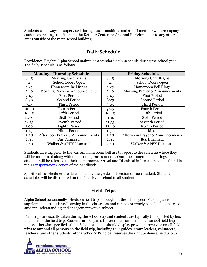Students will always be supervised during class transitions and a staff member will accompany each class making transitions to the Ketteler Center for Arts and Enrichment or to any other areas outside of the main school building.

#### **Daily Schedule**

<span id="page-22-0"></span>Providence Heights Alpha School maintains a standard daily schedule during the school year. The daily schedule is as follows:

| <b>Monday-Thursday Schedule</b> |                                             | <b>Friday Schedule</b> |                                  |
|---------------------------------|---------------------------------------------|------------------------|----------------------------------|
| 6:45                            | <b>Morning Care Begins</b>                  | 6:45                   | <b>Morning Care Begins</b>       |
| 7:15                            | <b>School Doors Open</b>                    | 7:15                   | School Doors Open                |
| 7:25                            | <b>Homeroom Bell Rings</b>                  | 7:25                   | <b>Homeroom Bell Rings</b>       |
| 7:40                            | Morning Prayer & Announcements              | 7:40                   | Morning Prayer & Announcements   |
| 7:45                            | <b>First Period</b>                         | 7:45                   | <b>First Period</b>              |
| 8:30                            | <b>Second Period</b>                        | 8:25                   | <b>Second Period</b>             |
| 9:15                            | Third Period                                | 9:05                   | Third Period                     |
| 10:00                           | <b>Fourth Period</b>                        | 9:45                   | <b>Fourth Period</b>             |
| 10:45                           | <b>Fifth Period</b>                         | 10:25                  | <b>Fifth Period</b>              |
| 11:30                           | <b>Sixth Period</b>                         | 11:10                  | <b>Sixth Period</b>              |
| 12:15                           | Seventh Period                              | 11:55                  | <b>Seventh Period</b>            |
| 1:00                            | Eighth Period                               | 12:40                  | <b>Eighth Period</b>             |
| 1:45                            | Ninth Period                                | 1:30                   | Mass                             |
| 2:28                            | <b>Afternoon Prayer &amp; Announcements</b> | 2:28                   | Afternoon Prayer & Announcements |
| 2:35                            | <b>Bus Dismissal</b>                        | 2:35                   | <b>Bus Dismissal</b>             |
| 2:40                            | Walker & APEX Dismissal                     | 2:40                   | Walker & APEX Dismissal          |

Students arriving prior to the 7:25am homeroom bell are to report to the cafeteria where they will be monitored along with the morning care students. Once the homeroom bell rings, students will be released to their homerooms. Arrival and Dismissal information can be found in the [Transportation Section](#page-62-3) of the handbook.

Specific class schedules are determined by the grade and section of each student. Student schedules will be distributed on the first day of school to all students.

## **Field Trips**

<span id="page-22-1"></span>Alpha School occasionally schedules field trips throughout the school year. Field trips are supplemental to students' learning in the classroom and can be extremely beneficial to increase student understanding and engagement with a subject.

Field trips are usually taken during the school day and students are typically transported by bus to and from the field trip. Students are required to wear their uniform on all school field trips unless otherwise specified. Alpha School students should display provident behavior on all field trips to any and all persons on the field trip, including tour guides, group leaders, volunteers, teachers, and other students. Alpha School's Principal reserves the right to deny a field trip to

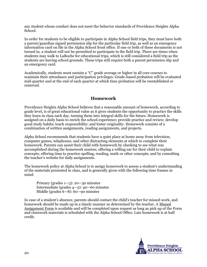any student whose conduct does not meet the behavior standards of Providence Heights Alpha School.

In order for students to be eligible to participate in Alpha School field trips, they must have both a parent/guardian signed permission slip for the particular field trip, as well as an emergency information card on file in the Alpha School front office. If one or both of these documents is not turned in, a student will not be permitted to participate in the field trip. There are times when students may walk to LaRoche for educational trips, which is still considered a field trip as the students are leaving school grounds. These trips still require both a parent permission slip and an emergency card.

Academically, students must sustain a "C" grade average or higher in all core courses to maintain their attendance and participation privileges. Grade-based probation will be evaluated mid-quarter and at the end of each quarter at which time probation will be reestablished or removed.

#### **Homework**

<span id="page-23-0"></span>Providence Heights Alpha School believes that a reasonable amount of homework, according to grade level, is of great educational value as it gives students the opportunity to practice the skills they learn in class each day, turning them into integral skills for the future. Homework is assigned on a daily basis to enrich the school experience; provide practice and review; develop good study habits; teach responsibility; and foster originality. Homework consists of a combination of written assignments, reading assignments, and projects.

Alpha School recommends that students have a quiet place at home away from television, computer games, telephones, and other distracting elements at which to complete their homework. Parents can assist their child with homework by checking to see what was accomplished during the homework session; offering a willing ear for their child to explain concepts; offering time to practice spelling, reading, math or other concepts; and by consulting the teacher's website for daily assignments.

The homework policy at Alpha School is to assign homework to assess a student's understanding of the materials presented in class, and is generally given with the following time frames in mind:

Primary (grades  $1-3$ ):  $20-30$  minutes Intermediate (grades 4—5): 40—60 minutes Middle (grades 6—8): 60—90 minutes

In case of a student's absence, parents should contact the child's teacher for missed work, and homework should be made up in a timely manner as determined by the teacher. A Missed Assignment Form is available and will be completed upon request as long as pick up of the Form and classwork materials is scheduled with the Alpha School Office. Late homework is at half credit.

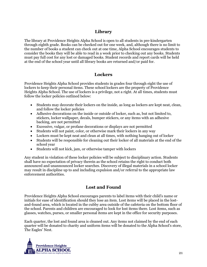### **Library**

<span id="page-24-0"></span>The library at Providence Heights Alpha School is open to all students in pre-kindergarten through eighth grade. Books can be checked out for one week, and, although there is no limit to the number of books a student can check out at one time, Alpha School encourages students to consider the books they will be able to read in a week prior to checking out any books. Students must pay full cost for any lost or damaged books. Student records and report cards will be held at the end of the school year until all library books are returned and/or paid for.

#### **Lockers**

<span id="page-24-1"></span>Providence Heights Alpha School provides students in grades four through eight the use of lockers to keep their personal items. These school lockers are the property of Providence Heights Alpha School. The use of lockers is a privilege, not a right. At all times, students must follow the locker policies outlined below:

- Students may decorate their lockers on the inside, as long as lockers are kept neat, clean, and follow the locker policies
- Adhesive decorations on the inside or outside of locker, such as, but not limited to, stickers, locker wallpaper, decals, bumper stickers, or any items with an adhesive backing, are not permitted
- Excessive, vulgar, or profane decorations or displays are not permitted
- Students will not paint, color, or otherwise mark their lockers in any way
- Lockers must be kept neat and clean at all times, with nothing hanging out of locker
- Students will be responsible for cleaning out their locker of all materials at the end of the school year
- Students will not kick, jam, or otherwise tamper with lockers

Any student in violation of these locker policies will be subject to disciplinary action. Students shall have no expectation of privacy therein as the school retains the right to conduct both announced and unannounced locker searches. Discovery of illegal materials in a school locker may result in discipline up to and including expulsion and/or referral to the appropriate law enforcement authorities.

#### **Lost and Found**

<span id="page-24-2"></span>Providence Heights Alpha School encourages parents to label items with their child's name or initials for ease of identification should they lose an item. Lost items will be placed in the lostand-found area, which is located in the cubby area outside of the cafeteria on the bottom floor of the school. Parents and children are encouraged to look for lost items there. Lost items, such as glasses, watches, purses, or smaller personal items are kept in the office for security purposes.

Each quarter, the lost and found area is cleaned out. Any items not claimed by the end of each quarter will be donated to charity and uniform items will be donated to the Alpha School's store, The Eagles' Nest.

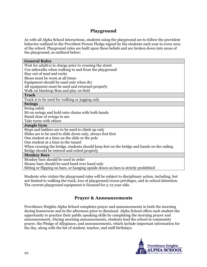#### **Playground**

<span id="page-25-0"></span>As with all Alpha School interactions, students using the playground are to follow the provident behavior outlined in the Provident Person Pledge signed by the students each year in every area of the school. Playground rules are built upon these beliefs and are broken down into areas of the playground, as outlined below:

| <b>General Rules</b>                                                                       |
|--------------------------------------------------------------------------------------------|
| Wait for $adult(s)$ in charge prior to crossing the street                                 |
| Use sidewalks when walking to and from the playground                                      |
| Stay out of mud and rocks                                                                  |
| Shoes must be worn at all times                                                            |
| Equipment should be used only when dry                                                     |
| All equipment must be used and returned properly                                           |
| Walk on blacktop/Run and play on field                                                     |
| <b>Track</b>                                                                               |
| Track is to be used for walking or jogging only                                            |
| <b>Swings</b>                                                                              |
| Swing safely                                                                               |
| Sit on swings and hold onto chains with both hands                                         |
| Stand clear of swings in use                                                               |
| Take turns with others                                                                     |
| <b>Jungle Gym</b>                                                                          |
| Steps and ladders are to be used to climb up only                                          |
| Slides are to be used to slide down only, always feet first                                |
| One student at a time on the slide or the pole                                             |
| One student at a time in the tunnel                                                        |
| When crossing the bridge, students should keep feet on the bridge and hands on the railing |
| Bridge should be entered and exited properly                                               |
| <b>Monkey Bars</b>                                                                         |
| Monkey bars should be used in order                                                        |
| Money bars should be used hand over hand only                                              |
| Sitting or flipping on bars, or hanging upside down on bars is strictly prohibited         |

Students who violate the playground rules will be subject to disciplinary action, including, but not limited to walking the track, loss of playground/recess privileges, and in-school detention. The current playground equipment is licensed for 5-12 year olds.

## **Prayer & Announcements**

<span id="page-25-1"></span>Providence Heights Alpha School completes prayer and announcements in both the morning during homeroom and in the afternoon prior to dismissal. Alpha School offers each student the opportunity to practice their public speaking skills by completing the morning prayer and announcements. During morning announcements, students lead the school in community prayer, the Pledge of Allegiance, and announcements, which include important information for the day, along with the list of student, teacher, and staff birthdays.

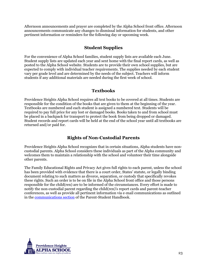Afternoon announcements and prayer are completed by the Alpha School front office. Afternoon announcements communicate any changes to dismissal information for students, and other pertinent information or reminders for the following day or upcoming week.

## **Student Supplies**

<span id="page-26-0"></span>For the convenience of Alpha School families, student supply lists are available each June. Student supply lists are updated each year and sent home with the final report cards, as well as posted to the Alpha School website. Students are to provide their own school supplies, but are expected to comply with individual teacher requirements. The supplies needed by each student vary per grade level and are determined by the needs of the subject. Teachers will inform students if any additional materials are needed during the first week of school.

#### **Textbooks**

<span id="page-26-1"></span>Providence Heights Alpha School requires all text books to be covered at all times. Students are responsible for the condition of the books that are given to them at the beginning of the year. Textbooks are numbered and each student is assigned a numbered text. Students will be required to pay full price for any lost or damaged books. Books taken to and from school must be placed in a backpack for transport to protect the book from being dropped or damaged. Student records and report cards will be held at the end of the school year until all textbooks are returned and/or paid for.

## **Rights of Non-Custodial Parents**

<span id="page-26-2"></span>Providence Heights Alpha School recognizes that in certain situations, Alpha students have noncustodial parents. Alpha School considers these individuals as part of the Alpha community and welcomes them to maintain a relationship with the school and volunteer their time alongside other parents.

The Family Educational Rights and Privacy Act gives full rights to each parent, unless the school has been provided with evidence that there is a court order, States' statute, or legally binding document relating to such matters as divorce, separation, or custody that specifically revokes these rights. Such an order is to be on file in the Alpha School front office and those persons responsible for the child(ren) are to be informed of the circumstances. Every effort is made to notify the non-custodial parent regarding the child(ren)'s report cards and parent-teacher conferences, as well as provide all pertinent information via e-mail communications as outlined in the [communications section](#page-14-0) of the Parent-Student Handbook.

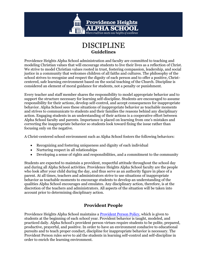

## DISCIPLINE **Guidelines**

<span id="page-28-2"></span><span id="page-28-0"></span>Providence Heights Alpha School administration and faculty are committed to teaching and modeling Christian values that will encourage students to live their lives as a reflection of Christ. We strive to model Christian values rooted in trust, fostering compassion, leadership, and social justice in a community that welcomes children of all faiths and cultures. The philosophy of the school strives to recognize and respect the dignity of each person and to offer a positive, Christcentered, safe learning environment based on the social teaching of the Church. Discipline is considered an element of moral guidance for students, not a penalty or punishment.

Every teacher and staff member shares the responsibility to model appropriate behavior and to support the structure necessary for learning self-discipline. Students are encouraged to assume responsibility for their actions, develop self-control, and accept consequences for inappropriate behavior. Alpha School sees these situations of inappropriate behavior as teachable moments and strives to communicate to students and their families the reasons behind any disciplinary action. Engaging students in an understanding of their actions is a cooperative effort between Alpha School faculty and parents. Importance is placed on learning from one's mistakes and correcting the inappropriate behavior so students look toward fixing the issue rather than focusing only on the negative.

A Christ-centered school environment such as Alpha School fosters the following behaviors:

- Recognizing and fostering uniqueness and dignity of each individual
- Nurturing respect in all relationships
- Developing a sense of rights and responsibilities, and a commitment to the community

Students are expected to maintain a provident, respectful attitude throughout the school day and during all Alpha School activities. Providence Heights Alpha School faculty are the people who look after your child during the day, and thus serve as an authority figure in place of a parent. At all times, teachers and administrators strive to use situations of inappropriate behavior as teachable moments to encourage students to develop an understanding of the qualities Alpha School encourages and emulates. Any disciplinary action, therefore, is at the discretion of the teachers and administrators. All aspects of the situation will be taken into account prior to determining disciplinary action.

## **Provident People**

<span id="page-28-1"></span>Providence Heights Alpha School maintains a Provident Person Policy, which is given to students at the beginning of each school year. Provident behavior is taught, modeled, and practiced daily. Alpha School's provident person virtues require students to be polite, prepared, productive, prayerful, and positive. In order to have an environment conducive to educational pursuits and to teach proper conduct, discipline for inappropriate behavior is necessary. The Provident Person rules serve to aid the students in learning self-control and self-discipline in order to enrich the learning environment.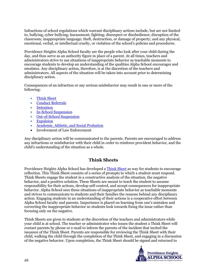Infractions of school regulations which warrant disciplinary actions include, but are not limited to, bullying, cyber bullying; harassment; fighting; disrespect or disobedience; disruption of the classroom; inappropriate language; theft, destruction, or damage of property; and any physical, emotional, verbal, or intellectual cruelty, or violation of the school's policies and procedures.

Providence Heights Alpha School faculty are the people who look after your child during the day, and thus serve as an authority figure in place of a parent. At all times, teachers and administrators strive to use situations of inappropriate behavior as teachable moments to encourage students to develop an understanding of the qualities Alpha School encourages and emulates. Any disciplinary action, therefore, is at the discretion of the teachers and administrators. All aspects of the situation will be taken into account prior to determining disciplinary action.

Consequences of an infraction or any serious misbehavior may result in one or more of the following:

- [Think Sheet](#page-29-0)
- [Conduct Referrals](#page-30-2)
- [Detention](#page-30-0)
- [In-School Suspension](#page-30-1)
- [Out-of-School Suspension](#page-31-0)
- [Expulsion](#page-32-0)
- [Academic, Athletic, and Social Probation](#page-34-0)
- Involvement of Law Enforcement

Any disciplinary action will be communicated to the parents. Parents are encouraged to address any infractions or misbehavior with their child in order to reinforce provident behavior, and the child's understanding of the situation as a whole.

## **Think Sheets**

<span id="page-29-0"></span>Providence Heights Alpha School has developed a [Think Sheet](#page-68-0) as way for students to encourage reflection. This Think Sheet consists of a series of prompts to which a student must respond. Think Sheets engage the student in a constructive analysis of the situation, the negative behavior, and a positive solution. These Sheets are meant to teach the student to assume responsibility for their actions, develop self-control, and accept consequences for inappropriate behavior. Alpha School sees these situations of inappropriate behavior as teachable moments and strives to communicate to students and their families the reasons behind any disciplinary action. Engaging students in an understanding of their actions is a cooperative effort between Alpha School faculty and parents. Importance is placed on learning from one's mistakes and correcting the inappropriate behavior so students look towards fixing the issue rather than focusing only on the negative.

Think Sheets are given to students at the discretion of the teachers and administrators while your child is at school. The teacher or administrator who issues the student a Think Sheet will contact parents by phone or e-mail to inform the parents of the incident that incited the issuance of the Think Sheet. Parents are responsible for reviewing the Think Sheet with their child, walking the child through the completion of the Think Sheet, and engaging in a discussion of the negative behavior. Upon completion, the Think Sheet should be signed and returned to

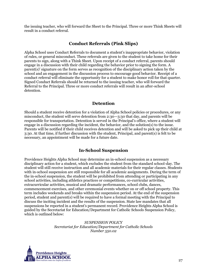the issuing teacher, who will forward the Sheet to the Principal. Three or more Think Sheets will result in a conduct referral.

#### **Conduct Referrals (Pink Slips)**

<span id="page-30-2"></span>Alpha School uses Conduct Referrals to document a student's inappropriate behavior, violation of rules, or general misconduct. These referrals are given to the student to take home for their parents to sign, along with a Think Sheet. Upon receipt of a conduct referral, parents should engage in a discussion with their child regarding the behavior prior to signing the form. A parent(s)' signature on the form serves as recognition of the disciplinary action taken by the school and an engagement in the discussion process to encourage good behavior. Receipt of a conduct referral will eliminate the opportunity for a student to make honor roll for that quarter. Signed Conduct Referrals should be returned to the issuing teacher, who will forward the Referral to the Principal. Three or more conduct referrals will result in an after-school detention.

#### **Detention**

<span id="page-30-0"></span>Should a student receive detention for a violation of Alpha School policies or procedures, or any misconduct, the student will serve detention from 2:30—3:30 that day, and parents will be responsible for transportation. Detention is served in the Principal's office, where a student will engage in a discussion regarding the incident, the behavior, and the solution(s) to the issue. Parents will be notified if their child receives detention and will be asked to pick up their child at 3:30. At that time, if further discussion with the student, Principal, and parent(s) is felt to be necessary, an appointment will be made for a future date.

## **In-School Suspension**

<span id="page-30-1"></span>Providence Heights Alpha School may determine an in-school suspension as a necessary disciplinary action for a student, which excludes the student from the standard school-day. The student will still receive instruction and all academic materials for their regular classes. Students with in-school suspension are still responsible for all academic assignments. During the term of the in-school suspension, the student will be prohibited from attending or participating in any school activities, including athletics practices or competitions, co-curricular activities, extracurricular activities, musical and dramatic performances, school clubs, dances, commencement exercises, and other ceremonial events whether on or off school property. This term includes weekends and breaks within the suspension period. At the end of the suspension period, student and parent(s) will be required to have a formal meeting with the Principal to discuss the inciting incident and the results of the suspension. State law mandates that all suspensions be reported in a student's permanent record. Providence Heights Alpha School is guided by the Secretariat for Education/Department for Catholic Schools Suspension Policy, which is outlined below:

> *SUSPENSION POLICY Secretariat for Education/Department for Catholic Schools Number 550.02*

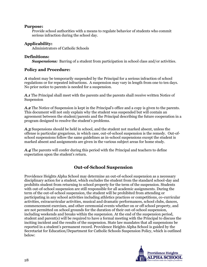#### **Purpose:**

Provide school authorities with a means to regulate behavior of students who commit serious infraction during the school day.

#### **Applicability:**

Administrators of Catholic Schools

#### **Definitions:**

**Suspensions:** Barring of a student from participation in school class and/or activities.

#### **Policy and Procedure:**

*A* student may be temporarily suspended by the Principal for a serious infraction of school regulations or for repeated infractions. A suspension may vary in length from one to ten days. No prior notice to parents is needed for a suspension.

*A.1* The Principal shall meet with the parents and the parents shall receive written Notice of Suspension

*A.2* The Notice of Suspension is kept in the Principal's office and a copy is given to the parents. This document will not only explain why the student was suspended but will contain an agreement between the student/parents and the Principal describing the future cooperation in a program designed to resolve the student's problems.

*A.3* Suspensions should be held in school, and the student not marked absent, unless the offense is particular gregarious, in which case, out-of-school suspension is the remedy. Out-ofschool suspensions follow the same guidelines as in-school suspensions except the student is marked absent and assignments are given in the various subject areas for home study.

*A.4* The parents will confer during this period with the Principal and teachers to define expectation upon the student's return.

## **Out-of-School Suspension**

<span id="page-31-0"></span>Providence Heights Alpha School may determine an out-of-school suspension as a necessary disciplinary action for a student, which excludes the student from the standard school-day and prohibits student from returning to school property for the term of the suspension. Students with out-of-school suspension are still responsible for all academic assignments. During the term of the out-of-school suspension, the student will be prohibited from attending or participating in any school activities including athletics practices or competitions, co-curricular activities, extracurricular activities, musical and dramatic performances, school clubs, dances, commencement exercises, and other ceremonial events whether on or off school property, and are not permitted on school grounds for the duration of their out-of-school suspension, including weekends and breaks within the suspension. At the end of the suspension period, student and parent(s) will be required to have a formal meeting with the Principal to discuss the inciting incident and the results of the suspension. State law mandates that all suspensions be reported in a student's permanent record. Providence Heights Alpha School is guided by the Secretariat for Education/Department for Catholic Schools Suspension Policy, which is outlined below:

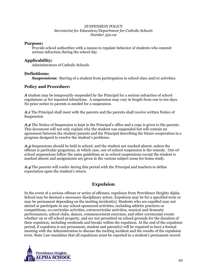#### *SUSPENSION POLICY Secretariat for Education/Department for Catholic Schools Number 550.02*

#### **Purpose:**

Provide school authorities with a means to regulate behavior of students who commit serious infraction during the school day.

#### **Applicability:**

Administrators of Catholic Schools

#### **Definitions:**

**Suspensions:** Barring of a student from participation in school class and/or activities.

#### **Policy and Procedure:**

*A* student may be temporarily suspended by the Principal for a serious infraction of school regulations or for repeated infractions. A suspension may vary in length from one to ten days. No prior notice to parents is needed for a suspension.

*A.1* The Principal shall meet with the parents and the parents shall receive written Notice of Suspension

*A.2* The Notice of Suspension is kept in the Principal's office and a copy is given to the parents. This document will not only explain why the student was suspended but will contain an agreement between the student/parents and the Principal describing the future cooperation in a program designed to resolve the student's problems.

*A.3* Suspensions should be held in school, and the student not marked absent, unless the offense is particular gregarious, in which case, out-of-school suspension is the remedy. Out-ofschool suspensions follow the same guidelines as in-school suspensions except the student is marked absent and assignments are given in the various subject areas for home study.

*A.4* The parents will confer during this period with the Principal and teachers to define expectation upon the student's return.

## **Expulsion**

<span id="page-32-0"></span>In the event of a serious offense or series of offenses, expulsion from Providence Heights Alpha School may be deemed a necessary disciplinary action. Expulsion may be for a specified term or may be permanent depending on the inciting incident(s). Students who are expelled may not attend or participate in any school sponsored activities, including athletic practices or competitions, co-curricular activities, extracurricular activities, musical and dramatic performances, school clubs, dances, commencement exercises, and other ceremonial events whether on or off school property, and are not permitted on school grounds for the duration of their expulsion, including weekends and breaks within the expulsion. At the end of the expulsion period, if expulsion is not permanent, student and parent(s) will be required to have a formal meeting with the Administration to discuss the inciting incident and the results of the expulsion term. State Law mandates that all expulsions must be reported in a student's permanent record.

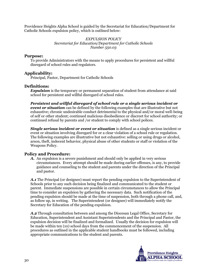Providence Heights Alpha School is guided by the Secretariat for Education/Department for Catholic Schools expulsion policy, which is outlined below:

#### *EXPULSION POLICY Secretariat for Education/Department for Catholic Schools Number 550.03*

#### **Purpose:**

To provide Administrators with the means to apply procedures for persistent and willful disregard of school rules and regulators.

#### **Applicability:**

Principal, Pastor, Department for Catholic Schools

#### **Definitions:**

**Expulsion** is the temporary or permanent separation of student from attendance at said school for persistent and willful disregard of school rules.

*Persistent and willful disregard of school rule or a single serious incident or event or situation* can be defined by the following examples that are illustrative but not exhaustive; chronic undesirable conduct detrimental to the physical and/or moral well-being of self or other student; continued malicious disobedience or discreet for school authority; or continued refusal by parents and /or student to comply with school polices.

*Single serious incident or event or situation* is defined as a single serious incident or event or situation involving disregard for or a clear violation of a school rule or regulation. The following examples are illustrative but not exhaustive: selling or using drugs or alcohol, arson, theft, indecent behavior, physical abuse of other students or staff or violation of the Weapons Policy.

#### **Policy and Procedure:**

*A.* An expulsion is a severe punishment and should only be applied in very serious circumstances. Every attempt should be made during earlier offenses, is any, to provide guidance and counseling to the student and parents under the direction of the Principal and pastor.

*A.1* The Principal (or designee) must report the pending expulsion to the Superintendent of Schools prior to any such decision being finalized and communicated to the student or parent. Immediate suspensions are possible in certain circumstances to allow the Principal time to consider an expulsion by gathering the necessary data. Such notification of the pending expulsion should be made at the time of suspension, both through a phone call, and, as follow up, in writing. The Superintendent (or designee) will immediately notify the Secretary for Education of the pending expulsion.

*A.2* Through consultation between and among the Diocesan Legal Office, Secretary for Education, Superintendent and Assistant Superintendents and the Principal and Pastor, the expulsion decision will be finalized and formalized. Usually the decision for expulsion will be made within ten (10) school days from the commencement of the suspension. All procedures as outlined in the applicable student handbooks must be followed, including appropriate communications to the student and parents.

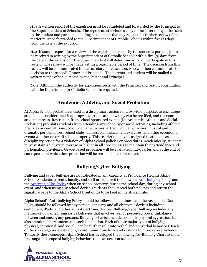*A.3* A written report of the expulsion must be completed and forwarded by the Principal to the Superintendent of Schools. The report must include a copy of the letter of expulsion sent to the student and parents, including a statement that any request for further review of the matter must be forwarded to the Superintendent of Catholic Schools within five (5) days from the date of the expulsion.

A.4 If such a request for a review of the expulsion is made by the student's parents, it must be received in writing by the Superintendent of Catholic Schools within five  $(5)$  days from the date of the expulsion. The Superintendent will determine who will participate in this review. The review will be made within a reasonable period of time. The decision from this review will be communicated to the secretary for education, who will then communicate the decision to the school's Pastor and Principal. The parents and student will be mailed a written notice of the outcome by the Pastor and Principal.

Note: Although the authority for expulsions rests with the Principal and pastor, consultation with the Department for Catholic Schools is required.

## **Academic, Athletic, and Social Probation**

<span id="page-34-0"></span>At Alpha School, probation is used as a disciplinary action for a two-fold purpose: to encourage students to consider their inappropriate actions and how they can be rectified, and to ensure student success. Restriction from school sponsored events (i.e. Academic, Athletic, and Social Probation) prohibits students from attending any school sponsored activities, including athletic practices or competitions, co-curricular activities, extracurricular activities, musical and dramatic performances, school clubs, dances, commencement exercises, and other ceremonial events whether on or off school property. This restriction may be assigned to students as disciplinary action for a violation of Alpha School policies or procedures. Academically, students must sustain a "C" grade average or higher in all core courses to maintain their attendance and participation privileges. Grade-based probation will be evaluated mid-quarter and at the end of each quarter at which time probation will be reestablished or removed.

## **Bullying/Cyber Bullying**

<span id="page-34-1"></span>Bullying and cyber bullying are not tolerated in any capacity at Providence Heights Alpha School. Students, parents, faculty, and staff are required to follow the Anti-bullying Policy and the Acceptable Use Policy when on school property, during the school day, during any school event, and when using any school device. Students should read both policies and return the signature page to the Alpha School front office to be kept in the student file.

Alpha School's Anti-bullying Policy should be followed at all times, and the Acceptable Use Policy should be followed by any person using any and all electronic devices including computers, iPads, and other school electronic devices. Bullying/cyber bullying includes any manner of unwanted, aggressive behavior that involves real or perceived power imbalance between and among any persons. Bullying behavior includes not only physical aggression, but also emotional harassment and social alienation. Each of these major types of bullying physical, emotional, and social—can be further split into verbal and nonverbal behaviors. Each of the six categories exists along a continuum from low-level violence to more severe violence. To clarify these concepts, Alpha School has developed the following No-Bullying Chart to show the range and scope of bullying behaviors that can occur at school.

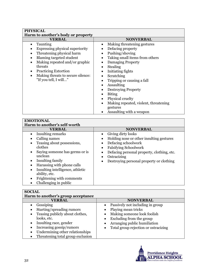| <b>PHYSICAL</b>                                                                                                                                                                                                                                                                            |                                                                                                                                                                                                                                                                                                                                                                           |  |  |
|--------------------------------------------------------------------------------------------------------------------------------------------------------------------------------------------------------------------------------------------------------------------------------------------|---------------------------------------------------------------------------------------------------------------------------------------------------------------------------------------------------------------------------------------------------------------------------------------------------------------------------------------------------------------------------|--|--|
| Harm to another's body or property                                                                                                                                                                                                                                                         |                                                                                                                                                                                                                                                                                                                                                                           |  |  |
| <b>VERBAL</b>                                                                                                                                                                                                                                                                              | <b>NONVERBAL</b>                                                                                                                                                                                                                                                                                                                                                          |  |  |
| Taunting<br>Expressing physical superiority<br>Threatening physical harm<br>Blaming targeted student<br>$\bullet$<br>Making repeated and/or graphic<br>$\bullet$<br>threats<br><b>Practicing Extortion</b><br>٠<br>Making threats to secure silence:<br>$\bullet$<br>"If you tell, I will" | Making threatening gestures<br>Defacing property<br>Pushing/shoving<br>Taking small items from others<br>Damaging Property<br>Stealing<br>Initiating fights<br>Scratching<br>Tripping or causing a fall<br>Assaulting<br><b>Destroying Property</b><br><b>Biting</b><br>Physical cruelty<br>Making repeated, violent, threatening<br>gestures<br>Assaulting with a weapon |  |  |

| <b>EMOTIONAL</b>                                                                                                                                                                                                                                                                                                                                                 |                                                                                                                                                                                                                                |  |  |
|------------------------------------------------------------------------------------------------------------------------------------------------------------------------------------------------------------------------------------------------------------------------------------------------------------------------------------------------------------------|--------------------------------------------------------------------------------------------------------------------------------------------------------------------------------------------------------------------------------|--|--|
| Harm to another's self-worth                                                                                                                                                                                                                                                                                                                                     |                                                                                                                                                                                                                                |  |  |
| <b>VERBAL</b>                                                                                                                                                                                                                                                                                                                                                    | <b>NONVERBAL</b>                                                                                                                                                                                                               |  |  |
| Insulting remarks<br>$\bullet$<br>Calling names<br>Teasing about possessions,<br>$\bullet$<br>clothes<br>Saying someone has germs or is<br>$\bullet$<br>unclean<br>Insulting family<br>٠<br>Harassing with phone calls<br>٠<br>Insulting intelligence, athletic<br>$\bullet$<br>ability, etc.<br>Frightening with comments<br>$\bullet$<br>Challenging in public | Giving dirty looks<br>Holding nose or other insulting gestures<br>Defacing schoolwork<br><b>Falsifying Schoolwork</b><br>Defacing personal property, clothing, etc.<br>Ostracizing<br>Destroying personal property or clothing |  |  |

### **SOCIAL**

| ~~~~<br>Harm to another's group acceptance                                                                                                                                                                                                                                 |                                                                                                                                                                                                                                   |
|----------------------------------------------------------------------------------------------------------------------------------------------------------------------------------------------------------------------------------------------------------------------------|-----------------------------------------------------------------------------------------------------------------------------------------------------------------------------------------------------------------------------------|
| <b>VERBAL</b>                                                                                                                                                                                                                                                              | <b>NONVERBAL</b>                                                                                                                                                                                                                  |
| Gossiping<br>Starting/spreading rumors<br>Teasing publicly about clothes,<br>$\bullet$<br>looks, etc.<br>Insulting race, gender<br>$\bullet$<br>Increasing gossip/rumors<br>$\bullet$<br>Undermining other relationships<br>$\bullet$<br>Threatening total group exclusion | Passively not including in group<br>Playing mean tricks<br>Making someone look foolish<br>Excluding from the group<br>$\bullet$<br>Arranging public humiliation<br>$\bullet$<br>Total group rejection or ostracizing<br>$\bullet$ |

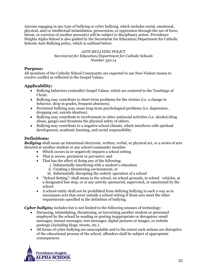Anyone engaging in any type of bullying or cyber bullying, which includes social, emotional, physical, and/or intellectual intimidation, persecution, or oppression through the use of force, threat, or coercion of another person(s) will be subject to disciplinary action. Providence Heights Alpha School is also guided by the Secretariat for Education/Department for Catholic Schools Anti-Bullying policy, which is outlined below:

#### *ANTI-BULLYING POLICY Secretariat for Education/Department for Catholic Schools Number 550.14*

#### **Purpose:**

All members of the Catholic School Community are expected to use Non-Violent means to resolve conflict as reflected in the Gospel Values.

#### **Applicability:**

- Bullying behaviors contradict Gospel Values, which are centered in the Teachings of Christ.
- Bullying may contribute to short-term problems for the victims (i.e. a change in behavior, drop in grades, frequent absences).
- Persistent bullying may cause long-term psychological problems (i.e. depression, dropping out, suicide ideation).
- Bullying may contribute to involvement in other antisocial activities (i.e. alcohol/drug abuse, gangs) and threatens the physical safety of others.
- Bullying may contribute to a negative school climate, which interferes with spiritual development, academic learning, and social responsibility.

#### **Definitions:**

*Bullying* shall mean an intentional electronic, written, verbal, or physical act, or a series of acts directed at another student or any school community member

- Which occurs in or negatively impacts a school setting
- That is severe, persistent or pervasive; and
- That has the effect of doing any of the following:
	- i. Substantially interfering with a student's education
	- ii. Creating a threatening environment; or
	- iii. Substantially disrupting the orderly operation of a school
- "School Setting": shall mean in the school, on school grounds, in school vehicles, at a designated bus stop, or at any activity sponsored, supervised, or sanctioned by the school.
- A school entity shall not be prohibited from defining bullying in such a way as to encompass acts that occur outside a school setting if those acts meet the other requirements specified in the definition of bullying.

*Cyber bullying* includes but is not limited to the following misuses of technology:

- Harassing, intimidating, threatening, or terrorizing another student or personnel employed by the school by sending or posting inappropriate or derogatory email messages, instant messages, text messages, digital pictures or images, or website postings (including blogs, tweets, etc.).
- All forms of cyber bullying are unacceptable and to the extent such actions are disruptive of the educational process of the school, offenders shall be subject of appropriate consequences.

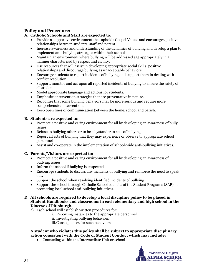#### **Policy and Procedure:**

#### **A. Catholic Schools and Staff are expected to:**

- Provide a supportive environment that upholds Gospel Values and encourages positive relationships between students, staff and parent.
- Increase awareness and understanding of the dynamics of bullying and develop a plan to implement anti-bullying strategies within their schools.
- Maintain an environment where bullying will be addressed age appropriately in a manner characterized by respect and civility.
- Use resources that will assist in developing appropriate social skills, positive relationships and discourage bullying as unacceptable behaviors.
- Encourage students to report incidents of bullying and support them in dealing with conflict resolution.
- Support, monitor and act upon all reported incidents of bullying to ensure the safety of all students.
- Model appropriate language and actions for students.
- Emphasize intervention strategies that are preventative in nature.
- Recognize that some bullying behaviors may be more serious and require more comprehensive intervention.
- Keep open lines of communication between the home, school and parish.

#### **B. Students are expected to:**

- Promote a positive and caring environment for all by developing an awareness of bully issues
- Refuse to bullying others or to be a bystander to acts of bullying
- Report all acts of bullying that they may experience or observe to appropriate school personnel
- Assist and co-operate in the implementation of school-wide anti-bullying initiatives.

#### **C. Parents/Visitors are expected to:**

- Promote a positive and caring environment for all by developing an awareness of bullying issues.
- Inform the school if bullying is suspected
- Encourage students to discuss any incidents of bullying and reinforce the need to speak out.
- Support the school when resolving identified incidents of bullying
- Support the school through Catholic School councils of the Student Programs (SAP) in promoting local school anti-bullying initiatives.

#### **D. All schools are required to develop a local discipline policy to be placed in Student Handbooks and classrooms in each elementary and high school in the Diocese of Pittsburgh.**

- a) Each school will establish written procedures for:
	- i. Reporting instances to the appropriate personnel
	- ii. Investigating bullying behaviors
	- iii.Consequences for such behaviors

#### **A student who violates this policy shall be subject to appropriate disciplinary action consistent with the Code of Student Conduct which may include:**

Counseling within the Intermediate Unit or school

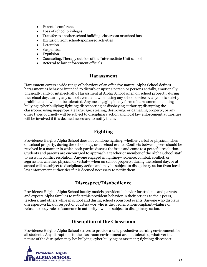- Parental conference
- Loss of school privileges
- Transfer to another school building, classroom or school bus
- Exclusion from school-sponsored activities
- Detention
- Suspension
- Expulsion
- Counseling/Therapy outside of the Intermediate Unit school
- Referral to law enforcement officials

#### **Harassment**

<span id="page-38-0"></span>Harassment covers a wide range of behaviors of an offensive nature. Alpha School defines harassment as behavior intended to disturb or upset a person or persons socially, emotionally, physically, and/or intellectually. Harassment at Alpha School when on school property, during the school day, during any school event, and when using any school device by anyone is strictly prohibited and will not be tolerated. Anyone engaging in any form of harassment, including bullying; cyber bullying; fighting; disrespecting or disobeying authority; disrupting the classroom; using inappropriate language; stealing, destroying, or damaging property; or any other types of cruelty will be subject to disciplinary action and local law enforcement authorities will be involved if it is deemed necessary to notify them.

#### **Fighting**

<span id="page-38-1"></span>Providence Heights Alpha School does not condone fighting, whether verbal or physical, when on school property, during the school day, or at school events. Conflicts between peers should be resolved in a manner in which both parties discuss the issue and come to a peaceful resolution. Students and parents are encouraged to approach a teacher or member of the Alpha School staff to assist in conflict resolution. Anyone engaged in fighting—violence, combat, conflict, or aggression, whether physical or verbal— when on school property, during the school day, or at school will be subject to disciplinary action and may be subject to disciplinary action from local law enforcement authorities if it is deemed necessary to notify them.

#### **Disrespect/Disobedience**

<span id="page-38-2"></span>Providence Heights Alpha School faculty models provident behavior for students and parents, and expects Alpha families to reflect this provident behavior in their actions to their peers, teachers, and others while in school and during school sponsored events. Anyone who displays disrespect—a lack of respect or courtesy—or who is disobedient/noncompliant—failure or refusal to obey rules of someone in authority—will be subject to disciplinary action.

#### **Disruption of the Classroom**

<span id="page-38-3"></span>Providence Heights Alpha School strives to provide a safe, productive learning environment for all students. Any disruptions to the classroom environment are not tolerated, whatever the nature of the disruption may be: bullying; cyber bullying; harassment; fighting; disrespect;

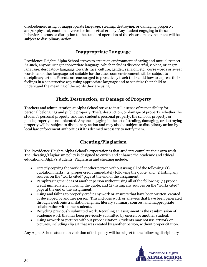disobedience; using of inappropriate language; stealing, destroying, or damaging property; and/or physical, emotional, verbal or intellectual cruelty. Any student engaging in these behaviors to cause a disruption to the standard operation of the classroom environment will be subject to disciplinary action.

### **Inappropriate Language**

<span id="page-39-0"></span>Providence Heights Alpha School strives to create an environment of caring and mutual respect. As such, anyone using inappropriate language, which includes disrespectful, violent, or angry language; derogatory language towards race, culture, gender, religion, etc.; curse words or swear words; and other language not suitable for the classroom environment will be subject to disciplinary action. Parents are encouraged to proactively teach their child how to express their feelings in a constructive way using appropriate language and to sensitize their child to understand the meaning of the words they are using.

#### **Theft, Destruction, or Damage of Property**

<span id="page-39-1"></span>Teachers and administration at Alpha School strive to instill a sense of responsibility for personal belongings and public property. Theft, destruction, or damage of property, whether the student's personal property, another student's personal property, the school's property, or public property, is not tolerated. Anyone engaging in the act of stealing, damaging, or destroying property will be subject to disciplinary action and may also be subject to disciplinary action by local law enforcement authorities if it is deemed necessary to notify them.

## **Cheating/Plagiarism**

<span id="page-39-2"></span>The Providence Heights Alpha School's expectation is that students complete their own work. The Cheating/Plagiarism policy is designed to enrich and enhance the academic and ethical education of Alpha's students. Plagiarism and cheating include:

- Directly copying the work of another person without using all of the following: (1) quotation marks, (2) proper credit immediately following the quote, and (3) listing any sources on the "works cited" page at the end of the assignment.
- Paraphrasing the ideas of another person without using all of the following: (1) proper credit immediately following the quote, and (2) listing any sources on the "works cited" page at the end of the assignment.
- Using and failing to properly credit any work or answers that have been written, created, or developed by another person. This includes work or answers that have been generated through electronic translation engines, literary summary sources, and inappropriate collaboration with other students.
- Recycling previously submitted work. Recycling an assignment is the resubmission of academic work that has been previously submitted by oneself or another student.
- Using artwork or pictures without proper citation. Students may not use artwork or pictures, including clip art that was created by another person, without proper citation.

Any Alpha School student in violation of this policy will be subject to the following disciplinary

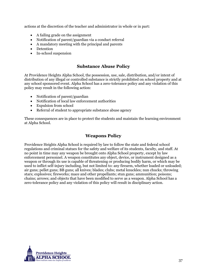actions at the discretion of the teacher and administrator in whole or in part:

- A failing grade on the assignment
- Notification of parent/guardian via a conduct referral
- A mandatory meeting with the principal and parents
- Detention
- In-school suspension

#### **Substance Abuse Policy**

<span id="page-40-0"></span>At Providence Heights Alpha School, the possession, use, sale, distribution, and/or intent of distribution of any illegal or controlled substance is strictly prohibited on school property and at any school sponsored event. Alpha School has a zero-tolerance policy and any violation of this policy may result in the following action:

- Notification of parent/guardian
- Notification of local law enforcement authorities
- Expulsion from school
- Referral of student to appropriate substance abuse agency

These consequences are in place to protect the students and maintain the learning environment at Alpha School.

#### **Weapons Policy**

<span id="page-40-1"></span>Providence Heights Alpha School is required by law to follow the state and federal school regulations and criminal statues for the safety and welfare of its students, faculty, and staff. At no point in time may any weapon be brought onto Alpha School property, except by law enforcement personnel. A weapon constitutes any object, device, or instrument designed as a weapon or through its use is capable of threatening or producing bodily harm, or which may be used to inflict self-injury including, but not limited to: any firearm, whether loaded or unloaded; air guns; pellet guns; BB guns; all knives; blades; clubs; metal knuckles; nun chucks; throwing stars; explosives; fireworks; mace and other propellants; stun guns; ammunition; poisons; chains; arrows; and objects that have been modified to serve as a weapon. Alpha School has a zero-tolerance policy and any violation of this policy will result in disciplinary action.

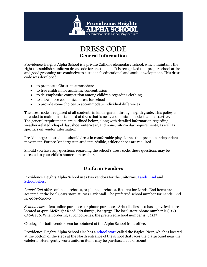

## DRESS CODE **General Information**

<span id="page-42-0"></span>Providence Heights Alpha School is a private Catholic elementary school, which maintains the right to establish a uniform dress code for its students. It is recognized that proper school attire and good grooming are conducive to a student's educational and social development. This dress code was developed:

- to promote a Christian atmosphere
- to free children for academic concentration
- to de-emphasize competition among children regarding clothing
- to allow more economical dress for school
- to provide some choices to accommodate individual differences

The dress code is required of all students in kindergarten through eighth grade. This policy is intended to maintain a standard of dress that is neat, economical, modest, and attractive. The general requirements are outlined below, along with detailed information regarding weather-related, chapel day, shoe, outerwear, and non-uniform day requirements, as well as specifics on vendor information.

Pre-kindergarten students should dress in comfortable play clothes that promote independent movement. For pre-kindergarten students, visible, athletic shoes are required.

Should you have any questions regarding the school's dress code, these questions may be directed to your child's homeroom teacher.

## **Uniform Vendors**

<span id="page-42-1"></span>Providence Heights Alpha School uses two vendors for the uniforms, [Lands' End](http://www.landsend.com/) and [Schoolbelles.](http://www.schoolbelles.com/)

*Lands' End* offers online purchases, or phone purchases. Returns for Lands' End items are accepted at the local Sears store at Ross Park Mall. The preferred school number for Lands' End is: 9001-6209-0

*Schoolbelles* offers online purchases or phone purchases. Schoolbelles also has a physical store located at 4721 McKnight Road, Pittsburgh, PA 15237. The local store phone number is (412) 630-8480. When ordering at Schoolbelles, the preferred school number is: S2127

Catalogs for both vendors can be obtained at the Alpha School front office.

Providence Heights Alpha School also has a [school store](#page-46-3) called the Eagles' Nest, which is located at the bottom of the steps at the North entrance of the school that faces the playground near the cafeteria. Here, gently worn uniform items may be purchased at a discount.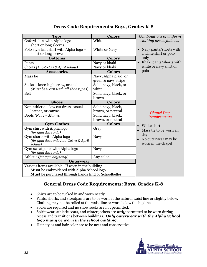<span id="page-43-0"></span>

| <b>Tops</b>                                         | <b>Colors</b>         | Combinations of uniform  |
|-----------------------------------------------------|-----------------------|--------------------------|
| Oxford shirt with Alpha logo -                      | White                 | clothing are as follows: |
| short or long sleeves                               |                       |                          |
| Polo style knit shirt with Alpha logo -             | White or Navy         | Navy pants/shorts with   |
| short or long sleeves                               |                       | a white shirt or polo    |
| <b>Bottoms</b>                                      | <b>Colors</b>         | only                     |
| Pants                                               | Navy or khaki         | Khaki pants/shorts with  |
| Shorts (Aug-Oct 31 & April 1-June)                  | Navy or khaki         | white or navy shirt or   |
| <b>Accessories</b>                                  | <b>Colors</b>         | polo                     |
| Mass tie                                            | Navy, Alpha plaid, or |                          |
|                                                     | green & navy stripe   |                          |
| Socks - knee-high, crew, or ankle                   | Solid navy, black, or |                          |
| (Must be worn with all shoe types)                  | white                 |                          |
| <b>Belt</b>                                         | Solid navy, black, or |                          |
|                                                     | brown                 |                          |
| <b>Shoes</b>                                        | <b>Colors</b>         |                          |
| Non-athletic - low cut dress, casual                | Solid navy, black,    |                          |
| leather, or canvas                                  | brown, or neutral     | <b>Chapel Day</b>        |
| Boots (Nov $1 - Mar$ 31)                            | Solid navy, black,    | Requirements             |
|                                                     | brown, or neutral     |                          |
| <b>Gym Clothes</b>                                  | <b>Colors</b>         | White shirt              |
| Gym shirt with Alpha logo                           | Gray                  | Mass tie to be worn all  |
| (for gym days only)                                 |                       | day                      |
| Gym shorts with Alpha logo                          | Navy                  | No outerwear may be      |
| (for gym days only Aug-Oct 31 & April               |                       | worn in the chapel       |
| $1$ -June)                                          |                       |                          |
| Gym sweatpants with Alpha logo                      | <b>Navy</b>           |                          |
| (for gym days only)                                 |                       |                          |
| Athletic (for gym days only)                        | Any color             |                          |
| <b>Outerwear</b>                                    |                       |                          |
| Various items available. If worn in the building    |                       |                          |
| Must be embroidered with Alpha School logo          |                       |                          |
| Must be purchased through Lands End or Schoolbelles |                       |                          |

## **Dress Code Requirements: Boys, Grades K-8**

## **General Dress Code Requirements: Boys, Grades K-8**

- <span id="page-43-1"></span>Shirts are to be tucked in and worn neatly.
- Pants, shorts, and sweatpants are to be worn at the natural waist line or slightly below. Clothing may not be rolled at the waist line or worn below the hip line.
- Socks are required and no show socks are not permitted.
- Spirit wear, athletic coats, and winter jackets are *only* permitted to be worn during recess and transitions between buildings. *Only outerwear with the Alpha School logo many be worn in the school building.*
- Hair styles and hair color are to be neat and conservative.

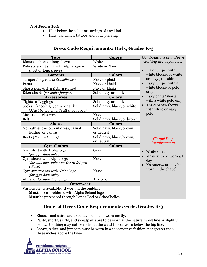#### *Not Permitted:*

- Hair below the collar or earrings of any kind.
- Hats, bandanas, tattoos and body piercing

<span id="page-44-0"></span>

| <b>Tops</b>                                         | <b>Colors</b>               | Combinations of uniform         |
|-----------------------------------------------------|-----------------------------|---------------------------------|
| Blouse - short or long sleeves                      | White                       | clothing are as follows:        |
| Polo style knit shirt with Alpha logo -             | White or Navy               |                                 |
| short or long sleeves                               |                             | • Plaid jumper with             |
| <b>Bottoms</b>                                      | <b>Colors</b>               | white blouse, or white          |
| Jumper (only sold at Schoolbelles)                  | Navy or plaid               | or navy polo shirt              |
| Pants                                               | Navy or khaki               | Navy jumper with a              |
| Shorts (Aug-Oct 31 & April 1-June)                  | Navy or khaki               | white blouse or polo            |
| Biker shorts (for under jumper)                     | Solid navy or black         | only                            |
| <b>Accessories</b>                                  | <b>Colors</b>               | • Navy pants/shorts             |
| <b>Tights or Leggings</b>                           | Solid navy or black         | with a white polo only          |
| Socks - knee-high, crew, or ankle                   | Solid navy, black, or white | Khaki pants/shorts<br>$\bullet$ |
| (Must be worn with all shoe types)                  |                             | with white or navy              |
| Mass tie - criss cross                              | <b>Navy</b>                 | polo                            |
| Belt                                                | Solid navy, black, or brown |                                 |
| <b>Shoes</b>                                        | <b>Colors</b>               |                                 |
| Non-athletic - low cut dress, casual                | Solid navy, black, brown,   |                                 |
| leather, or canvas                                  | or neutral                  |                                 |
| Boots (Nov $1 - Mar$ 31)                            | Solid navy, black, brown,   | <b>Chapel Day</b>               |
|                                                     | or neutral                  | Requirements                    |
| <b>Gym Clothes</b>                                  | <b>Colors</b>               |                                 |
| Gym shirt with Alpha logo                           | Gray                        | White shirt                     |
| (for gym days only)                                 |                             | Mass tie to be worn all         |
| Gym shorts with Alpha logo                          | Navy                        | day                             |
| (for gym days only Aug-Oct 31 & April               |                             | No outerwear may be             |
| $1$ -June)<br>Gym sweatpants with Alpha logo        | <b>Navy</b>                 | worn in the chapel              |
| (for gym days only)                                 |                             |                                 |
| Athletic (for gym days only)                        | Any color                   |                                 |
| <b>Outerwear</b>                                    |                             |                                 |
| Various items available. If worn in the building    |                             |                                 |
| Must be embroidered with Alpha School logo          |                             |                                 |
| Must be purchased through Lands End or Schoolbelles |                             |                                 |

### **Dress Code Requirements: Girls, Grades K-3**

## **General Dress Code Requirements: Girls, Grades K-3**

- <span id="page-44-1"></span>Blouses and shirts are to be tucked in and worn neatly.
- Pants, shorts, skirts, and sweatpants are to be worn at the natural waist line or slightly below. Clothing may not be rolled at the waist line or worn below the hip line.
- Shorts, skirts, and jumpers must be worn in a conservative fashion, not greater than three inches above the knee.

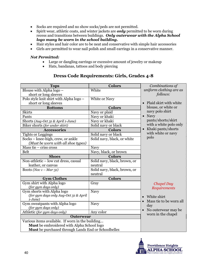- Socks are required and no show socks/peds are not permitted.
- Spirit wear, athletic coats, and winter jackets are *only* permitted to be worn during recess and transitions between buildings. *Only outerwear with the Alpha School logo many be worn in the school building.*
- Hair styles and hair color are to be neat and conservative with simple hair accessories
- Girls are permitted to wear nail polish and small earrings in a conservative manner.

#### *Not Permitted:*

- Large or dangling earrings or excessive amount of jewelry or makeup
- Hats, bandanas, tattoos and body piercing

#### **Dress Code Requirements: Girls, Grades 4-8**

<span id="page-45-0"></span>

| <b>Tops</b>                                           | <b>Colors</b>                | Combinations of          |
|-------------------------------------------------------|------------------------------|--------------------------|
| Blouse with Alpha logo -                              | White                        | uniform clothing are as  |
| short or long sleeves                                 |                              | follows:                 |
| Polo style knit shirt with Alpha logo -               | White or Navy                |                          |
| short or long sleeves                                 |                              | Plaid skirt with white   |
| <b>Bottoms</b>                                        | <b>Colors</b>                | blouse, or white or      |
| <b>Skirts</b>                                         | Navy or plaid                | navy polo shirt          |
| Pants                                                 | Navy or khaki                | $\bullet$ Navy           |
| Shorts (Aug-Oct 31 & April 1-June)                    | Navy or khaki                | pants/shorts/skirt       |
| Biker shorts (for under skirt)                        | Solid navy or black          | with a white polo only   |
| <b>Accessories</b>                                    | <b>Colors</b>                | Khaki pants/shorts       |
| Tights or Leggings                                    | Solid navy or black          | with white or navy       |
| Socks - knee-high, crew, or ankle                     | Solid navy, black, or white  | polo                     |
| (Must be worn with all shoe types)                    |                              |                          |
| Mass tie - criss cross                                | <b>Navy</b>                  |                          |
| <b>Belt</b>                                           | Navy, black, or brown        |                          |
| <b>Shoes</b>                                          | <b>Colors</b>                |                          |
| Non-athletic - low cut dress, casual                  | Solid navy, black, brown, or |                          |
| leather, or canvas                                    | neutral                      |                          |
| Boots (Nov $1 - Mar$ 31)                              | Solid navy, black, brown, or |                          |
|                                                       | neutral                      |                          |
| <b>Gym Clothes</b>                                    | <b>Colors</b>                |                          |
| Gym shirt with Alpha logo                             | Gray                         | <b>Chapel Day</b>        |
| (for gym days only)                                   |                              | Requirements             |
| Gym shorts with Alpha logo                            | <b>Navy</b>                  |                          |
| (for gym days only Aug-Oct 31 & April                 |                              | White shirt<br>$\bullet$ |
| $1-June)$                                             |                              | Mass tie to be worn all  |
| Gym sweatpants with Alpha logo<br>(for gym days only) | Navy                         | day                      |
| Athletic (for gym days only)                          | Any color                    | No outerwear may be      |
| <b>Outerwear</b>                                      |                              | worn in the chapel       |
| Various items available. If worn in the building      |                              |                          |
| Must be embroidered with Alpha School logo            |                              |                          |
| Must be purchased through Lands End or Schoolbelles   |                              |                          |
|                                                       |                              |                          |

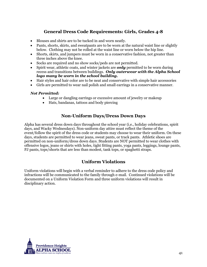## **General Dress Code Requirements: Girls, Grades 4-8**

- <span id="page-46-0"></span>Blouses and shirts are to be tucked in and worn neatly.
- Pants, shorts, skirts, and sweatpants are to be worn at the natural waist line or slightly below. Clothing may not be rolled at the waist line or worn below the hip line.
- Shorts, skirts, and jumpers must be worn in a conservative fashion, not greater than three inches above the knee.
- Socks are required and no show socks/peds are not permitted.
- Spirit wear, athletic coats, and winter jackets are *only* permitted to be worn during recess and transitions between buildings. *Only outerwear with the Alpha School logo many be worn in the school building.*
- Hair styles and hair color are to be neat and conservative with simple hair accessories
- Girls are permitted to wear nail polish and small earrings in a conservative manner.

#### *Not Permitted:*

- Large or dangling earrings or excessive amount of jewelry or makeup
- Hats, bandanas, tattoos and body piercing

#### **Non-Uniform Days/Dress Down Days**

<span id="page-46-1"></span>Alpha has several dress down days throughout the school year (i.e., holiday celebrations, spirit days, and Wacky Wednesdays). Non-uniform day attire must reflect the theme of the event/follow the spirit of the dress code or students may choose to wear their uniform. On these days, students are permitted to wear jeans, sweat pants, or track pants. Athletic shoes are permitted on non-uniform/dress down days. Students are NOT permitted to wear clothes with offensive logos, jeans or shirts with holes, tight fitting pants, yoga pants, leggings, lounge pants, PJ pants, tops/shorts that are less than modest, tank tops, or spaghetti straps.

#### **Uniform Violations**

<span id="page-46-3"></span><span id="page-46-2"></span>Uniform violations will begin with a verbal reminder to adhere to the dress code policy and infractions will be communicated to the family through e-mail. Continued violations will be documented on a Uniform Violation Form and three uniform violations will result in disciplinary action.

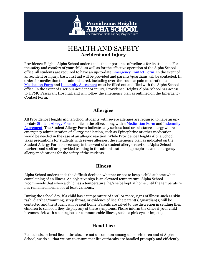

## HEALTH AND SAFETY **Accident and Injury**

<span id="page-48-0"></span>Providence Heights Alpha School understands the importance of wellness for its students. For the safety and comfort of your child, as well as for the effective operation of the Alpha School office, all students are required to have an up-to-date Emergency Contact Form. In the event of an accident or injury, basic first aid will be provided and parents/guardians will be contacted. In order for medication to be administered, including over-the-counter pain medication, a Medication Form and Indemnity Agreement must be filled out and filed with the Alpha School office. In the event of a serious accident or injury, Providence Heights Alpha School has access to UPMC Passavant Hospital, and will follow the emergency plan as outlined on the Emergency Contact Form.

#### **Allergies**

<span id="page-48-1"></span>All Providence Heights Alpha School students with severe allergies are required to have an upto-date Student Allergy Form on file in the office, along with a Medication Form and Indemnity Agreement. The Student Allergy Form indicates any serious food or substance allergy where emergency administration of allergy medication, such as Epinephrine or other medication, would be needed in the case of an allergic reaction. While Providence Heights Alpha School takes precautions for students with severe allergies, the emergency plan as indicated on the Student Allergy Form is necessary in the event of a student allergic reaction. Alpha School teachers and staff are provided training in the administration of epinephrine and emergency allergy medications for the safety of the students.

#### **Illness**

<span id="page-48-2"></span>Alpha School understands the difficult decision whether or not to keep a child at home when complaining of an illness. An objective sign is an elevated temperature. Alpha School recommends that when a child has a temperature, he/she be kept at home until the temperature has remained normal for at least 24 hours.

During the school day, if a child has a temperature of 100˚ or more, signs of illness such as skin rash, diarrhea/vomiting, strep throat, or evidence of lice, the parent(s)/guardian(s) will be contacted and the student will be sent home. Parents are asked to use discretion in sending their children to school if they display any of these symptoms. Please inform the office if your child becomes sick with a contagious or communicable illness, such as pink eye or impetigo.

#### **Head Lice**

<span id="page-48-3"></span>Pediculosis, or head lice outbreaks, are not uncommon among school children and at Alpha School, we do all that we can to ensure that lice outbreaks are handled promptly and efficiently.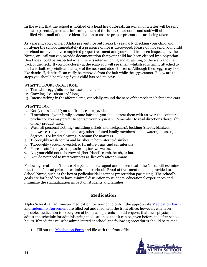In the event that the school is notified of a head lice outbreak, an e-mail or a letter will be sent home to parents/guardians informing them of the issue. Classrooms and staff will also be notified via e-mail of the lice identification to ensure proper precautions are being taken.

As a parent, you can help Alpha prevent lice outbreaks by regularly checking your child and notifying the school immediately if a presence of lice is discovered. Please do not send your child to school until you have completed proper treatment and your child has been inspected by the Nurse, or until you can provide documentation that your child has been cleared by a physician. Head lice should be suspected when there is intense itching and scratching of the scalp and the back of the neck. If you look closely at the scalp you will see small, whitish eggs firmly attached to the hair shaft, especially at the nape of the neck and above the ears. Although these eggs may look like dandruff, dandruff can easily be removed from the hair while the eggs cannot. Below are the steps you should be taking if your child has pediculosis:

#### WHAT TO LOOK FOR AT HOME:

- 1. Tiny white eggs/nits on the base of the hairs.
- 2. Crawling lice about 1/8" long.
- 3. Intense itching in the affected area, especially around the nape of the neck and behind the ears.

#### WHAT TO DO:

- 1. Notify the school if you confirm lice or eggs/nits.
- 2. If members of your family become infested, you should treat them with an over-the-counter product or you may prefer to contact your physician. Remember to read directions thoroughly on any product used.
- 3. Wash all personal clothing (including jackets and backpacks), bedding (sheets, blankets, pillowcases) of your child, and any other infested family members' in hot water (at least 130 degrees F) or by dry cleaning. Vacuum the mattress.
- 4. Thoroughly wash combs and brushes in hot water to disinfect.
- 5. Thoroughly vacuum overstuffed furniture, rugs, and car interiors.
- 6. Place all stuffed toys in a plastic bag for two weeks.
- 7. Ask your child not to borrow his/her friend's comb, brush, or hat.
- 8. You do not need to treat your pets as lice only affect humans.

Following treatment (the use of a pediculocidal agent and nit removal), the Nurse will examine the student's head prior to readmission to school. Proof of treatment must be provided to School Nurse, such as the box of pediculocidal agent or prescription packaging. The school's goals are for head lice to have minimal disruption to students' educational experiences and minimize the stigmatization impact on students and families.

#### **Medication**

<span id="page-49-0"></span>Alpha School can administer medication for your child only if the appropriate Medication Form and Indemnity Agreement are filled out and filed with the front office; however, whenever possible, medication is to be given at home and parents should request that their physician adjust the schedule for administering medication so that it can be given before and after school hours. If medicine *must* be administered at school, the following procedures should be taken:

Fill out the Medication Form and file with the front office

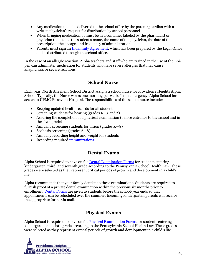- Any medication must be delivered to the school office by the parent/guardian with a written physician's request for distribution by school personnel
- When bringing medication, it must be in a container labeled by the pharmacist or physician that states the student's name, the name of the physician, the date of the prescription, the dosage, and frequency of administration
- Parents must sign an Indemnity Agreement, which has been prepared by the Legal Office and is distributed through the school office.

In the case of an allergic reaction, Alpha teachers and staff who are trained in the use of the Epipen can administer medication for students who have severe allergies that may cause anaphylaxis or severe reactions.

## **School Nurse**

<span id="page-50-0"></span>Each year, North Allegheny School District assigns a school nurse for Providence Heights Alpha School. Typically, the Nurse works one morning per week. In an emergency, Alpha School has access to UPMC Passavant Hospital. The responsibilities of the school nurse include:

- Keeping updated health records for all students
- Screening students for hearing (grades  $K-3$  and 7)
- Assuring the completion of a physical examination (before entrance to the school and in the sixth grade)
- Annually screening students for vision (grades K—8)
- Scoliosis screening (grades  $6-8$ )
- Annually recording height and weight for students
- Recording required [immunizations](#page-51-0)

#### **Dental Exams**

<span id="page-50-1"></span>Alpha School is required to have on file Dental Examination Forms for students entering kindergarten, third, and seventh grade according to the Pennsylvania School Health Law. These grades were selected as they represent critical periods of growth and development in a child's life.

Alpha recommends that your family dentist do these examinations. Students are required to furnish proof of a private dental examination within the previous six months prior to enrollment. Dental Forms are given to students before the school-year ends so that appointments can be scheduled over the summer. Incoming kindergarten parents will receive the appropriate forms via mail.

## **Physical Exams**

<span id="page-50-2"></span>Alpha School is required to have on file Physical Examination Forms for students entering kindergarten and sixth grade according to the Pennsylvania School Health Law. These grades were selected as they represent critical periods of growth and development in a child's life.

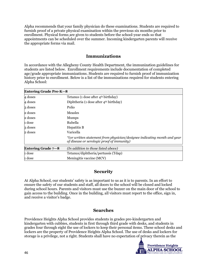Alpha recommends that your family physician do these examinations. Students are required to furnish proof of a private physical examination within the previous six months prior to enrollment. Physical forms are given to students before the school-year ends so that appointments can be scheduled over the summer. Incoming kindergarten parents will receive the appropriate forms via mail.

#### **Immunizations**

<span id="page-51-0"></span>In accordance with the Allegheny County Health Department, the immunization guidelines for students are listed below. Enrollment requirements include documentation of completed age/grade appropriate immunizations. Students are required to furnish proof of immunization history prior to enrollment. Below is a list of the immunizations required for students entering Alpha School:

| Entering Grade Pre-K-8 |                                                                                                                        |
|------------------------|------------------------------------------------------------------------------------------------------------------------|
| 4 doses                | Tetanus (1 dose after $4th$ birthday)                                                                                  |
| 4 doses                | Diphtheria (1 dose after $4th$ birthday)                                                                               |
| 3 doses                | Polio                                                                                                                  |
| 2 doses                | Measles                                                                                                                |
| 2 doses                | <b>Mumps</b>                                                                                                           |
| 1 dose                 | Rubella                                                                                                                |
| 3 doses                | Hepatitis B                                                                                                            |
| 2 doses                | Varicella                                                                                                              |
|                        | *(or written statement from physician/designee indicating month and year<br>of disease or serologic proof of immunity) |
| Entering Grade $7 - 8$ | (In addition to those listed above)                                                                                    |
| 1 dose                 | Tetanus/diphtheria/pertussis (Tdap)                                                                                    |
| 1 dose                 | Meningitis vaccine (MCV)                                                                                               |

## **Security**

<span id="page-51-1"></span>At Alpha School, our students' safety is as important to us as it is to parents. In an effort to ensure the safety of our students and staff, all doors to the school will be closed and locked during school hours. Parents and visitors must use the buzzer on the main door of the school to gain access to the building. Once in the building, all visitors must report to the office, sign in, and receive a visitor's badge.

#### **Searches**

<span id="page-51-2"></span>Providence Heights Alpha School provides students in grades pre-kindergarten and kindergarten with cubbies, students in first through third grade with desks, and students in grades four through eight the use of lockers to keep their personal items. These school desks and lockers are the property of Providence Heights Alpha School. The use of desks and lockers for storage is a privilege, not a right. Students shall have no expectation of privacy therein as the

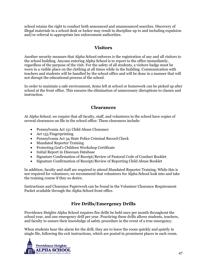school retains the right to conduct both announced and unannounced searches. Discovery of illegal materials in a school desk or locker may result in discipline up to and including expulsion and/or referral to appropriate law enforcement authorities.

#### **Visitors**

<span id="page-52-0"></span>Another security measure that Alpha School enforces is the registration of any and all visitors to the school building. Anyone entering Alpha School is to report to the office immediately, regardless of the purpose of the visit. For the safety of all students, a visitors badge must be worn in a visible place on the clothing at all times while in the building. Communication with teachers and students will be handled by the school office and will be done in a manner that will not disrupt the educational process of the school.

In order to maintain a safe environment, items left at school or homework can be picked up after school at the front office. This ensures the elimination of unnecessary disruptions to classes and instruction.

#### **Clearances**

<span id="page-52-1"></span>At Alpha School, we require that all faculty, staff, and volunteers in the school have copies of several clearances on file in the school office. These clearances include:

- Pennsylvania Act 151 Child Abuse Clearance
- Act 153 Fingerprinting
- Pennsylvania Act 34 State Police Criminal Record Check
- Mandated Reporter Training
- Protecting God's Children Workshop Certificate
- Initial Report in Diocesan Database
- Signature Confirmation of Receipt/Review of Pastoral Code of Conduct Booklet
- Signature Confirmation of Receipt/Review of Reporting Child Abuse Booklet

In addition, faculty and staff are required to attend Mandated Reporter Training. While this is not required for volunteers, we recommend that volunteers for Alpha School look into and take the training course if they so desire.

Instructions and Clearance Paperwork can be found in the Volunteer Clearance Requirement Packet available through the Alpha School front office.

#### **Fire Drills/Emergency Drills**

<span id="page-52-2"></span>Providence Heights Alpha School requires fire drills be held once per month throughout the school year, and one emergency drill per year. Practicing these drills allows students, teachers, and faculty to ensure their knowledge of safety procedure in the event of a true emergency.

When students hear the alarm for the drill, they are to leave the room quickly and quietly in single file, following the exit instructions, which are posted in prominent places in each room.

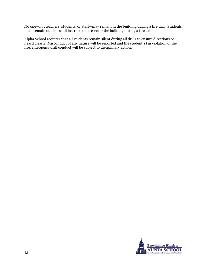No one—not teachers, students, or staff—may remain in the building during a fire drill. Students must remain outside until instructed to re-enter the building during a fire drill.

Alpha School requires that all students remain silent during all drills to ensure directions be heard clearly. Misconduct of any nature will be reported and the student(s) in violation of the fire/emergency drill conduct will be subject to disciplinary action.

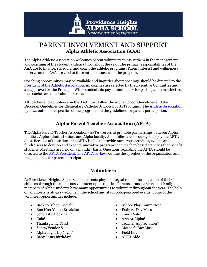

## <span id="page-54-0"></span>PARENT INVOLVEMENT AND SUPPORT **Alpha Athletic Association (AAA)**

<span id="page-54-3"></span>The Alpha Athletic Association welcomes parent volunteers to assist them in the management and coaching of the student athletics throughout the year. The primary responsibilities of the AAA are to finance, schedule, and coach the athletic programs. Parent interest and willingness to serve on the AAA are vital to the continued success of the program.

Coaching opportunities may be available and inquiries about openings should be directed to the [President of the Athletic Association.](mailto:nkramm@alphaschool.org) All coaches are selected by the Executive Committee and are approved by the Principal. While students do pay a minimal fee for participation in athletics, the coaches are on a volunteer basis.

All coaches and volunteers on the AAA must follow the Alpha School Guidelines and the Diocesan Guidelines for Elementary Catholic Schools Sports Programs. The Athletic Association by-laws outline the specifics of the program and the guidelines for parent participation.

## **Alpha Parent-Teacher Association (APTA)**

<span id="page-54-1"></span>The Alpha Parent-Teacher Association (APTA) serves to promote partnerships between Alpha families, Alpha administration, and Alpha faculty. All families are encouraged to pay the APTA dues. Because of these dues, the APTA is able to provide numerous activities, events, and fundraisers to develop and expand innovative programs and teacher-based activities that benefit students. Meetings are held on a monthly basis. Questions regarding the APTA should be directed to the **APTA President**. The **APTA** by-laws outline the specifics of the organization and the guidelines for parent participation.

#### **Volunteers**

<span id="page-54-2"></span>At Providence Heights Alpha School, parents play an integral role in the education of their children through the numerous volunteer opportunities. Parents, grandparents, and family members of Alpha students have many opportunities to volunteer throughout the year. The help of volunteers is always welcome in the school and at school-sponsored events. Some of the volunteer opportunities include:

- Back to School Social\*
- Boo Hoo-Yahoo Breakfast
- Scholastic Book Fair\*
- $\bullet$  Gala\*
- Thanksgiving Feast
- Santa/Vendor Sale
- Alpha Light Up Night\*
- Baby Jesus Birthday\*
- School Play Committee\*
- Father's Day Mass
- Candy Sale\*
- Arts At Alpha\*
- Teacher Appreciation\*
- Mother's Day Mass
- Field Day
- APEX Aide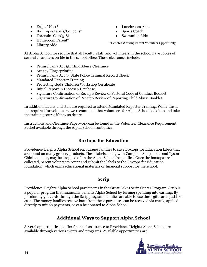- Eagles' Nest\*
- Box Tops/Labels/Coupons\*
- Forensics Club $(5-8)$
- Homeroom Parent\*
- Library Aide
- Lunchroom Aide
- Sports Coach
- Swimming Aide

\*Denotes Working Parent Volunteer Opportunity

At Alpha School, we require that all faculty, staff, and volunteers in the school have copies of several clearances on file in the school office. These clearances include:

- Pennsylvania Act 151 Child Abuse Clearance
- Act 153 Fingerprinting
- Pennsylvania Act 34 State Police Criminal Record Check
- Mandated Reporter Training
- Protecting God's Children Workshop Certificate
- Initial Report in Diocesan Database
- Signature Confirmation of Receipt/Review of Pastoral Code of Conduct Booklet
- Signature Confirmation of Receipt/Review of Reporting Child Abuse Booklet

In addition, faculty and staff are required to attend Mandated Reporter Training. While this is not required for volunteers, we recommend that volunteers for Alpha School look into and take the training course if they so desire.

Instructions and Clearance Paperwork can be found in the Volunteer Clearance Requirement Packet available through the Alpha School front office.

## **Boxtops for Education**

<span id="page-55-0"></span>Providence Heights Alpha School encourages families to save Boxtops for Education labels that are found on many grocery products. These labels, along with Campbell Soup labels and Tyson Chicken labels, may be dropped off in the Alpha School front office. Once the boxtops are collected, parent volunteers count and submit the labels to the Boxtops for Education foundation, which earns educational materials or financial support for the school.

## **Scrip**

<span id="page-55-1"></span>Providence Heights Alpha School participates in the Great Lakes Scrip Center Program. Scrip is a popular program that financially benefits Alpha School by turning spending into earning. By purchasing gift cards through the Scrip program, families are able to use these gift cards just like cash. The money families receive back from these purchases can be received via check, applied directly to tuition payments, or can be donated to Alpha School.

## **Additional Ways to Support Alpha School**

<span id="page-55-2"></span>Several opportunities to offer financial assistance to Providence Heights Alpha School are available through various events and programs. Available opportunities are:

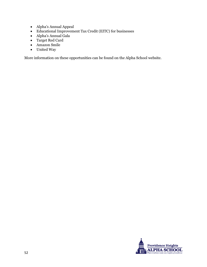- Alpha's Annual Appeal
- Educational Improvement Tax Credit (EITC) for businesses
- Alpha's Annual Gala
- Target Red Card
- Amazon Smile
- United Way

More information on these opportunities can be found on the Alpha School website.

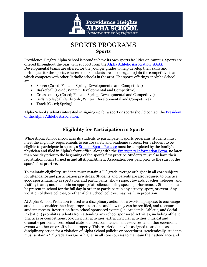

## SPORTS PROGRAMS **Sports**

<span id="page-58-0"></span>Providence Heights Alpha School is proud to have its own sports facilities on campus. Sports are offered throughout the year with support from the [Alpha Athletic Association \(AAA\).](#page-54-3) Developmental teams are offered for the younger grades to help develop their skills and techniques for the sports, whereas older students are encouraged to join the competitive team, which competes with other Catholic schools in the area. The sports offerings at Alpha School are:

- Soccer (Co-ed; Fall and Spring; Developmental and Competitive)
- Basketball (Co-ed; Winter; Developmental and Competitive)
- Cross country (Co-ed; Fall and Spring; Developmental and Competitive)
- Girls' Volleyball (Girls only; Winter; Developmental and Competitive)
- Track (Co-ed; Spring)

Alpha School students interested in signing up for a sport or sports should contact the [President](mailto:nkramm@alphaschool.org)  [of the Alpha Athletic Association.](mailto:nkramm@alphaschool.org)

## **Eligibility for Participation in Sports**

<span id="page-58-1"></span>While Alpha School encourages its students to participate in sports programs, students must meet the eligibility requirements to ensure safety and academic success. For a student to be eligible to participate in sports, a Student Sports Release must be completed by the family's physician and filed in Alpha's front office, along with the Emergency Information Form, no later than one day prior to the beginning of the sport's first practice. Students must also have their registration forms turned in and all Alpha Athletic Association fees paid prior to the start of the sport's first practice.

To maintain eligibility, students must sustain a "C" grade average or higher in all core subjects for attendance and participation privileges. Students and parents are also required to practice good sportsmanship as spectators and participants; show respect towards coaches, referees, and visiting teams; and maintain an appropriate silence during special performances. Students must be present in school for the full day in order to participate in any activity, sport, or event. Any violation of these policies, or other Alpha School policies, may result in probation.

At Alpha School, Probation is used as a disciplinary action for a two-fold purpose: to encourage students to consider their inappropriate actions and how they can be rectified, and to ensure student success. Restriction from school sponsored events (i.e. Academic, Athletic, and Social Probation) prohibits students from attending any school sponsored activities, including athletic practices or competitions, co-curricular activities, extracurricular activities, musical and dramatic performances, school clubs, dances, commencement exercises, and other ceremonial events whether on or off school property. This restriction may be assigned to students as disciplinary action for a violation of Alpha School policies or procedures. Academically, students must sustain a "C" grade average or higher in all core courses to maintain their attendance and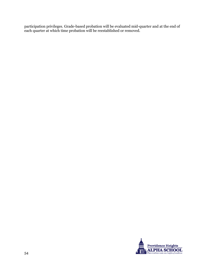participation privileges. Grade-based probation will be evaluated mid-quarter and at the end of each quarter at which time probation will be reestablished or removed.

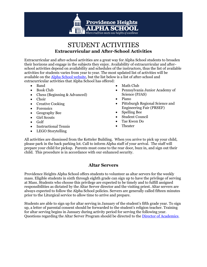

## STUDENT ACTIVITIES **Extracurricular and After-School Activities**

<span id="page-60-0"></span>Extracurricular and after-school activities are a great way for Alpha School students to broaden their horizons and engage in the subjects they enjoy. Availability of extracurricular and afterschool activities depend on availability and schedules of the instructors, thus the list of available activities for students varies from year to year. The most updated list of activities will be available on the [Alpha School website,](http://www.alphaschool.org/) but the list below is a list of after-school and extracurricular activities that Alpha School has offered:

- Band
- Book Club
- Chess (Beginning & Advanced)
- Choir
- Creative Cooking
- Forensics
- Geography Bee
- Girl Scouts
- Golf
- Instructional Tennis
- LEGO Storytelling
- Math Club
- Pennsylvania Junior Academy of Science (PJAS)
- Piano
- Pittsburgh Regional Science and Engineering Fair (PRSEF)
- Spelling Bee
- Student Council
- Tae Kwon Do
- Theater

All activities are dismissed from the Ketteler Building. When you arrive to pick up your child, please park in the back parking lot. Call to inform Alpha staff of your arrival. The staff will prepare your child for pickup. Parents must come to the rear door, buzz in, and sign out their child. This procedure is in accordance with our enhanced security.

#### **Altar Servers**

<span id="page-60-1"></span>Providence Heights Alpha School offers students to volunteer as altar servers for the weekly mass. Eligible students in sixth through eighth grade can sign up to have the privilege of serving at Mass. Students who choose this privilege are expected to be timely and to fulfill assigned responsibilities as dictated by the Altar Server director and the visiting priest. Altar servers are always expected to follow the Alpha School policies. Servers are generally called fifteen minutes prior to the Liturgical service to allow time to arrive and prepare.

Students are able to sign up for altar serving in January of the student's fifth grade year. To sign up, a letter of parental consent should be forwarded to the student's religion teacher. Training for altar serving begins in January during activity period for serving the following year. Questions regarding the Altar Server Program should be directed to the [Director of Academics.](mailto:philes@alphschool.org)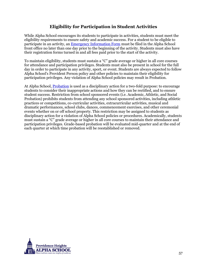#### **Eligibility for Participation in Student Activities**

<span id="page-61-0"></span>While Alpha School encourages its students to participate in activities, students must meet the eligibility requirements to ensure safety and academic success. For a student to be eligible to participate in an activity, an Emergency Information Form must be filed in the Alpha School front office no later than one day prior to the beginning of the activity. Students must also have their registration forms turned in and all fees paid prior to the start of the activity.

To maintain eligibility, students must sustain a "C" grade average or higher in all core courses for attendance and participation privileges. Students must also be present in school for the full day in order to participate in any activity, sport, or event. Students are always expected to follow Alpha School's Provident Person policy and other policies to maintain their eligibility for participation privileges. Any violation of Alpha School policies may result in Probation.

At Alpha School, [Probation](#page-34-0) is used as a disciplinary action for a two-fold purpose: to encourage students to consider their inappropriate actions and how they can be rectified, and to ensure student success. Restriction from school sponsored events (i.e. Academic, Athletic, and Social Probation) prohibits students from attending any school sponsored activities, including athletic practices or competitions, co-curricular activities, extracurricular activities, musical and dramatic performances, school clubs, dances, commencement exercises, and other ceremonial events whether on or off school property. This restriction may be assigned to students as disciplinary action for a violation of Alpha School policies or procedures. Academically, students must sustain a "C" grade average or higher in all core courses to maintain their attendance and participation privileges. Grade-based probation will be evaluated mid-quarter and at the end of each quarter at which time probation will be reestablished or removed.

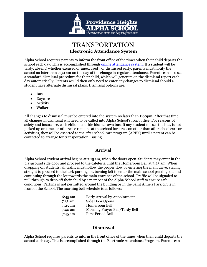

## TRANSPORTATION **Electronic Attendance System**

<span id="page-62-3"></span><span id="page-62-0"></span>Alpha School requires parents to inform the front office of the times when their child departs the school each day. This is accomplished through [online attendance system.](http://alphaschool.org/login.aspx?url=/private/) If a student will be tardy, absent( whether excused or unexcused), or dismissed early, parents must notify the school no later than 7:30 am on the day of the change in regular attendance. Parents can also set a standard dismissal procedure for their child, which will generate on the dismissal report each day automatically. Parents would then only need to enter any changes to dismissal should a student have alternate dismissal plans. Dismissal options are:

- Bus
- Daycare
- Activity
- Walker

All changes to dismissal must be entered into the system no later than 1:00pm. After that time, all changes in dismissal will need to be called into Alpha School's front office. For reasons of safety and insurance, each child must ride his/her own bus. If any student misses the bus, is not picked up on time, or otherwise remains at the school for a reason other than afterschool care or activities, they will be escorted to the after school care program (APEX) until a parent can be contacted to arrange for transportation. Busing

#### **Arrival**

<span id="page-62-1"></span>Alpha School student arrival begins at 7:15 am, when the doors open. Students may enter in the playground side door and proceed to the cafeteria until the Homeroom Bell at 7:25 am. When dropping off students, all traffic must follow the proper flow by entering the main drive, staying straight to proceed to the back parking lot, turning left to enter the main school parking lot, and continuing through the lot towards the main entrance of the school. Traffic will be signaled to pull through to drop off their child by a member of the Alpha School staff to ensure safe conditions. Parking is not permitted around the building or in the Saint Anne's Park circle in front of the School. The morning bell schedule is as follows:

| Early Arrival by Appointment   |
|--------------------------------|
| Side Door Opens                |
| Homeroom Bell                  |
| Morning Prayer Bell/Tardy Bell |
| <b>First Period Bell</b>       |
|                                |

#### **Dismissal**

<span id="page-62-2"></span>Alpha School requires parents to inform the front office of the times when their child departs the school each day. This is accomplished through the Electronic Attendance Program. Parents can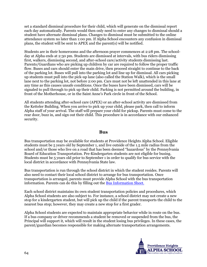set a standard dismissal procedure for their child, which will generate on the dismissal report each day automatically. Parents would then only need to enter any changes to dismissal should a student have alternate dismissal plans. Changes to dismissal must be submitted to the online attendance system no later than 1:00 pm. If Alpha School encounters any confusion in dismissal plans, the student will be sent to APEX and the parent(s) will be notified.

Students are in their homerooms and the afternoon prayer commences at 2:28 pm. The schoolday at Alpha ends at 2:30 pm. Students are dismissed at intervals, with bus riders dismissing first, walkers, dismissing second, and after-school care/activity students dismissing last. Parents/Guardians who are picking up children by car are required to follow the proper traffic flow. Buses and cars should enter the main drive, then proceed straight to continue to the back of the parking lot. Buses will pull into the parking lot and line up for dismissal. All cars picking up students must pull into the pick-up lane (also called the Station Walk), which is the small lane next to the parking lot, not before 2:00 pm. Cars must not be left unattended in this lane at any time as this causes unsafe conditions. Once the buses have been dismissed, cars will be signaled to pull through to pick up their child. Parking is not permitted around the building, in front of the Motherhouse, or in the Saint Anne's Park circle in front of the School.

All students attending after-school care (APEX) or an after-school activity are dismissed from the Ketteler Building. When you arrive to pick up your child, please park, then call to inform Alpha staff of your arrival. The staff will prepare your child for pickup. Parents must come to the rear door, buzz in, and sign out their child. This procedure is in accordance with our enhanced security.

#### **Bus**

<span id="page-63-0"></span>Bus transportation may be available for students at Providence Heights Alpha School. Eligible students must be 5 years old by September 1, and live outside of the 1.5 mile radius from the school and/or those who live on a road that has been deemed "hazardous" by the Pennsylvania Board of Education Transportation. Pre-Kindergarten students are not eligible for busing. Students must be 5 years old prior to September 1 in order to qualify for bus service with the local district in accordance with Pennsylvania State law.

Bus transportation is run through the school district in which the student resides. Parents will also need to contact their local school district to arrange for bus transportation. Once transportation is arranged, parents must provide Alpha School with the bus transportation information. Parents can do this by filling out the Bus Information Sheet.

Each school district maintains its own student transportation policies and procedures, which Alpha School students are also subject to. For instance, a school district may not create a new stop for a kindergarten student, but will pick up the child if the parent transports the child to the nearest bus stop; however, they may create a new stop for a first grader.

Alpha School students are expected to maintain appropriate behavior while in route on the bus. If a bus company or driver recommends a student be removed or suspended from the bus, the Principal will support it, which will result in the student losing bus privileges. In these cases, the parent/guardian becomes responsible for making alternate transportation arrangements.

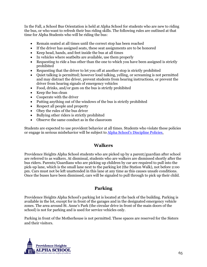In the Fall, a School Bus Orientation is held at Alpha School for students who are new to riding the bus, or who want to refresh their bus riding skills. The following rules are outlined at that time for Alpha Students who will be riding the bus:

- Remain seated at all times until the correct stop has been reached
- If the driver has assigned seats, these seat assignments are to be honored
- Keep head, hands, and feet inside the bus at all times
- In vehicles where seatbelts are available, use them properly
- Requesting to ride a bus other than the one to which you have been assigned is strictly prohibited
- Requesting that the driver to let you off at another stop is strictly prohibited
- Quiet talking is permitted; however loud talking, yelling, or screaming is not permitted and may distract the driver, prevent students from hearing instructions, or prevent the driver from hearing signals of emergency vehicles
- Food, drinks, and/or gum on the bus is strictly prohibited
- Keep the bus clean
- Cooperate with the driver
- Putting anything out of the windows of the bus is strictly prohibited
- Respect all people and property
- Obey the rules of the bus driver
- Bullying other riders is strictly prohibited
- Observe the same conduct as in the classroom

Students are expected to use provident behavior at all times. Students who violate these policies or engage in serious misbehavior will be subject to [Alpha School's Discipline Policies](#page-28-2).

#### **Walkers**

<span id="page-64-0"></span>Providence Heights Alpha School students who are picked up by a parent/guardian after school are referred to as walkers. At dismissal, students who are walkers are dismissed shortly after the bus riders. Parents/Guardians who are picking up children by car are required to pull into the pick-up lane, which is the small lane next to the parking lot (the Station Walk), not before 2:00 pm. Cars must not be left unattended in this lane at any time as this causes unsafe conditions. Once the buses have been dismissed, cars will be signaled to pull through to pick up their child.

#### **Parking**

<span id="page-64-1"></span>Providence Heights Alpha School's parking lot is located at the back of the building. Parking is available in the lot, except for in front of the garages and in the designated emergency vehicle zones. The area around St. Anne's Park (the circular drive in front of the main doors of the school) is not for parking and is used for service vehicles only.

Parking in front of the Motherhouse is not permitted. These spaces are reserved for the Sisters and their visitors.

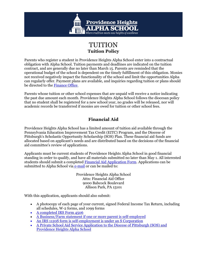

## TUITION **Tuition Policy**

<span id="page-66-0"></span>Parents who register a student in Providence Heights Alpha School enter into a contractual obligation with Alpha School. Tuition payments and deadlines are indicated on the tuition contract, and are generally due no later than March 15. Parents are reminded that the operational budget of the school is dependent on the timely fulfillment of this obligation. Monies not received negatively impact the functionality of the school and limit the opportunities Alpha can regularly offer. Payment plans are available, and inquiries regarding tuition or plans should be directed to the [Finance Office.](mailto:cervin@alphaschool.org)

Parents whose tuition or other school expenses that are unpaid will receive a notice indicating the past due amount each month. Providence Heights Alpha School follows the diocesan policy that no student shall be registered for a new school year, no grades will be released, nor will academic records be transferred if monies are owed for tuition or other school fees.

## **Financial Aid**

<span id="page-66-1"></span>Providence Heights Alpha School has a limited amount of tuition aid available through the Pennsylvania Education Improvement Tax Credit (EITC) Program, and the Diocese of Pittsburgh's Scholastic Opportunity Scholarship (SOS) Plan. These financial aid funds are allocated based on applicant's needs and are distributed based on the decisions of the financial aid committee's review of applications.

Applicants must be current students of Providence Heights Alpha School in good financial standing in order to qualify, and have all materials submitted no later than May 1. All interested students should submit a completed [Financial Aid Application Form.](http://alphaschool.org/content/public/admissions/tuition_financial_aid_page_documents/applicationforfinancialaid.pdf) Applications can be submitted to Alpha School via [e-mail](mailto:cervin@alphaschool.org) or can be mailed to:

> Providence Heights Alpha School Attn: Financial Aid Office 9000 Babcock Boulevard Allison Park, PA 15101

With this application, applicants should also submit:

- A photocopy of each page of your current, signed Federal Income Tax Return, including all schedules, W-2 forms, and 1099 forms
- [A completed IRS Form 4506](http://alphaschool.org/content/public/admissions/tuition_financial_aid_page_documents/irsform4506.pdf)
- [A Business/Farm statement if one or more parent is self-employed](http://alphaschool.org/content/public/admissions/tuition_financial_aid_page_documents/businessfarmform.pdf)
- [An IRS 1120S form is self-employment is under an S Corporation](http://alphaschool.org/content/public/admissions/tuition_financial_aid_page_documents/irsform1120s.pdf)
- [A Private School Aid Service Application](https://www.psas.org/) to the Diocese of Pittsburgh (SOS) and Providence Heights Alpha School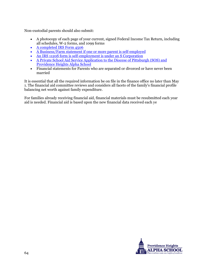Non-custodial parents should also submit:

- A photocopy of each page of your current, signed Federal Income Tax Return, including all schedules, W-2 forms, and 1099 forms
- [A completed IRS Form 4506](http://alphaschool.org/content/public/admissions/tuition_financial_aid_page_documents/irsform4506.pdf)
- [A Business/Farm statement if one or more parent is self-employed](http://alphaschool.org/content/public/admissions/tuition_financial_aid_page_documents/businessfarmform.pdf)
- [An IRS 1120S form is self-employment is under an S Corporation](http://alphaschool.org/content/public/admissions/tuition_financial_aid_page_documents/irsform1120s.pdf)
- [A Private School Aid Service Application](https://www.psas.org/) to the Diocese of Pittsburgh (SOS) and Providence Heights Alpha School
- Financial statements for Parents who are separated or divorced or have never been married

It is essential that all the required information be on file in the finance office no later than May 1. The financial aid committee reviews and considers all facets of the family's financial profile balancing net worth against family expenditure.

For families already receiving financial aid, financial materials must be resubmitted each year aid is needed. Financial aid is based upon the new financial data received each ye